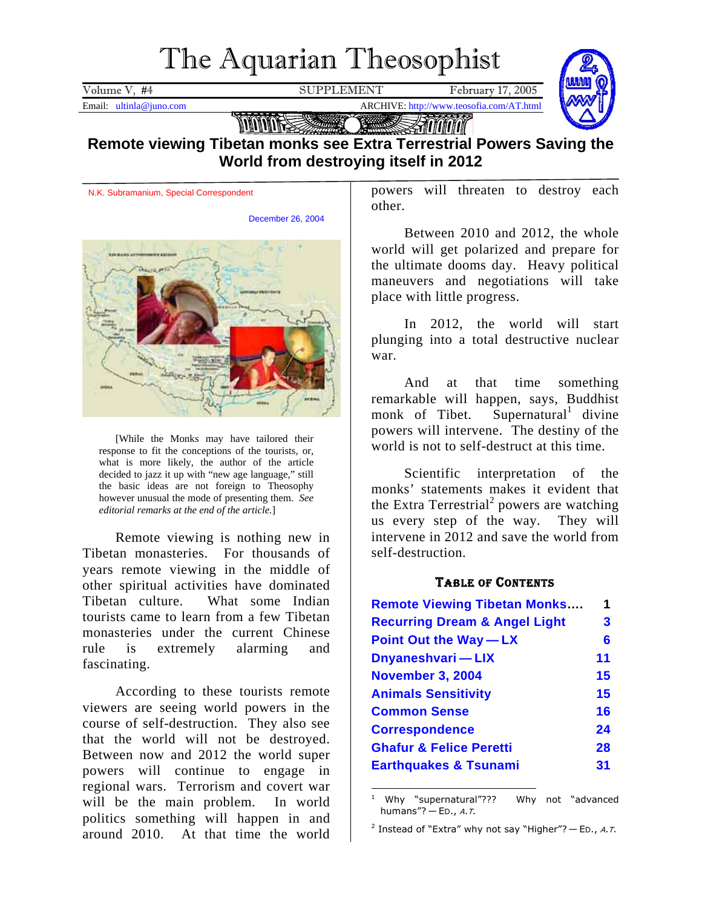# The Aquarian Theosophist

<span id="page-0-2"></span>Volume V, #4 SUPPLEMENT February 17, 2005



Email: ultinla@juno.com ARCHIVE: http://www.teosofia.com/AT.html

**Talling** mm Stototototo **Remote viewing Tibetan monks see Extra Terrestrial Powers Saving the World from destroying itself in 2012**

N.K. Subramanium, Special Correspondent

December 26, 2004



[While the Monks may have tailored their response to fit the conceptions of the tourists, or, what is more likely, the author of the article decided to jazz it up with "new age language," still the basic ideas are not foreign to Theosophy however unusual the mode of presenting them. *See editorial remarks at the end of the article.*]

Remote viewing is nothing new in Tibetan monasteries. For thousands of years remote viewing in the middle of other spiritual activities have dominated Tibetan culture. What some Indian tourists came to learn from a few Tibetan monasteries under the current Chinese rule is extremely alarming and fascinating.

According to these tourists remote viewers are seeing world powers in the course of self-destruction. They also see that the world will not be destroyed. Between now and 2012 the world super powers will continue to engage in regional wars. Terrorism and covert war will be the main problem. In world politics something will happen in and around 2010. At that time the world

powers will threaten to destroy each other.

Between 2010 and 2012, the whole world will get polarized and prepare for the ultimate dooms day. Heavy political maneuvers and negotiations will take place with little progress.

In 2012, the world will start plunging into a total destructive nuclear war.

And at that time something remarkable will happen, says, Buddhist monk of Tibet. Supernatural<sup>1</sup> divine powers will intervene. The destiny of the world is not to self-destruct at this time.

Scientific interpretation of the monks' statements makes it evident that the Extra Terrestrial<sup>[2](#page-0-1)</sup> powers are watching us every step of the way. They will intervene in 2012 and save the world from self-destruction.

# TABLE OF CONTENTS

| <b>Remote Viewing Tibetan Monks</b>                                                             | 1            |                            |    |
|-------------------------------------------------------------------------------------------------|--------------|----------------------------|----|
| <b>Recurring Dream &amp; Angel Light</b><br><b>Point Out the Way - LX</b><br>Dnyaneshvari - LIX | 3<br>6<br>11 |                            |    |
|                                                                                                 |              | <b>November 3, 2004</b>    | 15 |
|                                                                                                 |              | <b>Animals Sensitivity</b> | 15 |
| <b>Common Sense</b>                                                                             | 16           |                            |    |
| <b>Correspondence</b>                                                                           | 24           |                            |    |
| <b>Ghafur &amp; Felice Peretti</b>                                                              | 28           |                            |    |
| <b>Earthquakes &amp; Tsunami</b>                                                                | 31           |                            |    |

<span id="page-0-0"></span> $\overline{a}$ 1 Why "supernatural"??? Why not "advanced humans"?  $-$  ED., A.T.

<span id="page-0-1"></span><sup>&</sup>lt;sup>2</sup> Instead of "Extra" why not say "Higher"?  $-$  ED., A.T.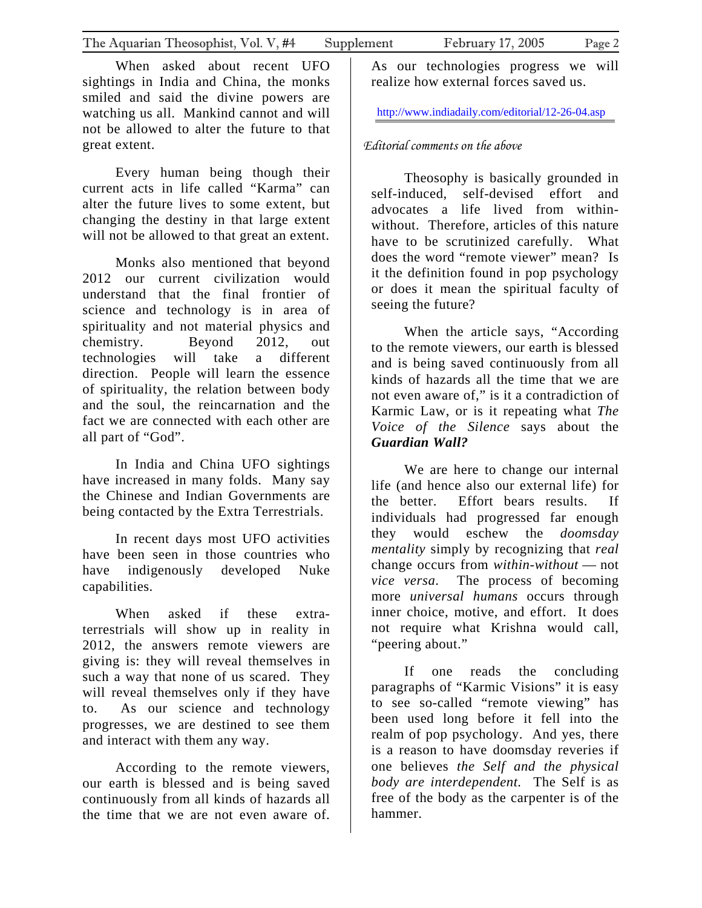When asked about recent UFO sightings in India and China, the monks smiled and said the divine powers are watching us all. Mankind cannot and will not be allowed to alter the future to that great extent.

Every human being though their current acts in life called "Karma" can alter the future lives to some extent, but changing the destiny in that large extent will not be allowed to that great an extent.

Monks also mentioned that beyond 2012 our current civilization would understand that the final frontier of science and technology is in area of spirituality and not material physics and chemistry. Beyond 2012, out technologies will take a different direction. People will learn the essence of spirituality, the relation between body and the soul, the reincarnation and the fact we are connected with each other are all part of "God".

In India and China UFO sightings have increased in many folds. Many say the Chinese and Indian Governments are being contacted by the Extra Terrestrials.

In recent days most UFO activities have been seen in those countries who have indigenously developed Nuke capabilities.

When asked if these extraterrestrials will show up in reality in 2012, the answers remote viewers are giving is: they will reveal themselves in such a way that none of us scared. They will reveal themselves only if they have to. As our science and technology progresses, we are destined to see them and interact with them any way.

According to the remote viewers, our earth is blessed and is being saved continuously from all kinds of hazards all the time that we are not even aware of.

As our technologies progress we will realize how external forces saved us.

<http://www.indiadaily.com/editorial/12-26-04.asp>

# *Editorial comments on the above*

Theosophy is basically grounded in self-induced, self-devised effort and advocates a life lived from withinwithout. Therefore, articles of this nature have to be scrutinized carefully. What does the word "remote viewer" mean? Is it the definition found in pop psychology or does it mean the spiritual faculty of seeing the future?

When the article says, "According to the remote viewers, our earth is blessed and is being saved continuously from all kinds of hazards all the time that we are not even aware of," is it a contradiction of Karmic Law, or is it repeating what *The Voice of the Silence* says about the *Guardian Wall?*

We are here to change our internal life (and hence also our external life) for the better. Effort bears results. If individuals had progressed far enough they would eschew the *doomsday mentality* simply by recognizing that *real* change occurs from *within-without* — not *vice versa*. The process of becoming more *universal humans* occurs through inner choice, motive, and effort. It does not require what Krishna would call, "peering about."

If one reads the concluding paragraphs of "Karmic Visions" it is easy to see so-called "remote viewing" has been used long before it fell into the realm of pop psychology. And yes, there is a reason to have doomsday reveries if one believes *the Self and the physical body are interdependent.* The Self is as free of the body as the carpenter is of the hammer.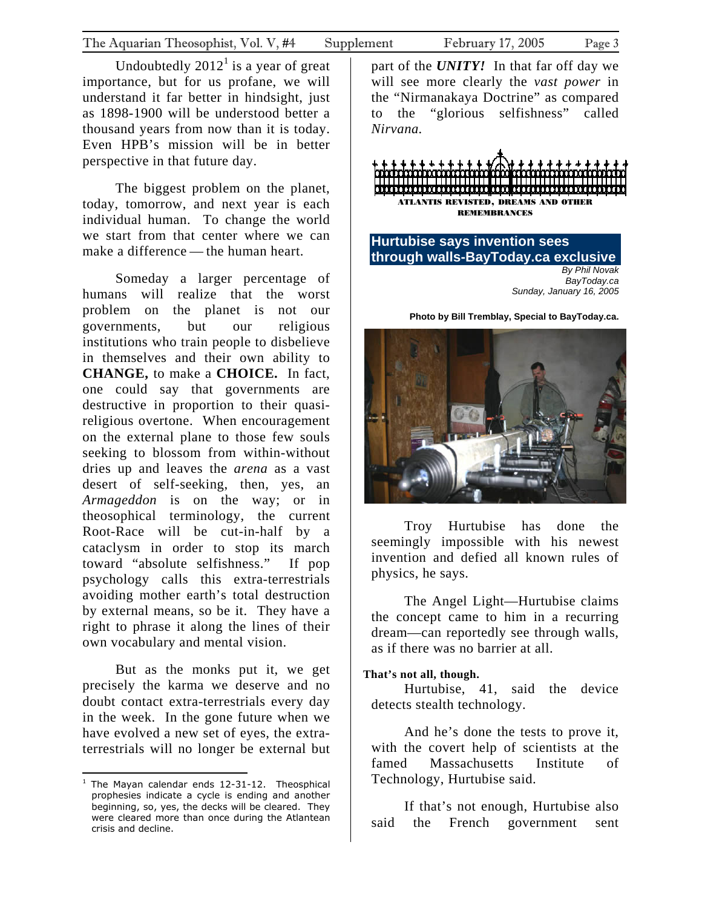<span id="page-2-0"></span>Undoubtedly $2012<sup>1</sup>$  is a year of great importance, but for us profane, we will understand it far better in hindsight, just as 1898-1900 will be understood better a thousand years from now than it is today. Even HPB's mission will be in better perspective in that future day.

The biggest problem on the planet, today, tomorrow, and next year is each individual human. To change the world we start from that center where we can make a difference — the human heart.

Someday a larger percentage of humans will realize that the worst problem on the planet is not our governments, but our religious institutions who train people to disbelieve in themselves and their own ability to **CHANGE,** to make a **CHOICE.** In fact, one could say that governments are destructive in proportion to their quasireligious overtone. When encouragement on the external plane to those few souls seeking to blossom from within-without dries up and leaves the *arena* as a vast desert of self-seeking, then, yes, an *Armageddon* is on the way; or in theosophical terminology, the current Root-Race will be cut-in-half by a cataclysm in order to stop its march toward "absolute selfishness." If pop psychology calls this extra-terrestrials avoiding mother earth's total destruction by external means, so be it. They have a right to phrase it along the lines of their own vocabulary and mental vision.

But as the monks put it, we get precisely the karma we deserve and no doubt contact extra-terrestrials every day in the week. In the gone future when we have evolved a new set of eyes, the extraterrestrials will no longer be external but

 $\overline{a}$ 

part of the *UNITY!*In that far off day we will see more clearly the *vast power* in the "Nirmanakaya Doctrine" as compared to the "glorious selfishness" called *Nirvana.*

ATLANTIS REVISTED, DREAMS AND OTHER **REMEM[BR](http://www.baytoday.ca/includes/bannercount.asp?ID=48&URL=http%3A%2F%2Fwww%2Epinewoodparkinn%2Ecom%2F)ANCES** 

**Hurtubise says invention sees through walls-BayToday.ca exclusive**  *By Phil Novak BayToday.ca Sunday, January 16, 2005*

**Photo by Bill Tremblay, Special to BayToday.ca.**



Troy Hurtubise has done the seemingly impossible with his newest invention and defied all known rules of physics, he says.

The Angel Light—Hurtubise claims the concept came to him in a recurring dream—can reportedly see through walls, as if there was no barrier at all.

#### **That's not all, though.**

Hurtubise, 41, said the device detects stealth technology.

And he's done the tests to prove it, with the covert help of scientists at the famed Massachusetts Institute of Technology, Hurtubise said.

If that's not enough, Hurtubise also said the French government sent

<span id="page-2-1"></span><sup>&</sup>lt;sup>1</sup> The Mayan calendar ends 12-31-12. Theosphical prophesies indicate a cycle is ending and another beginning, so, yes, the decks will be cleared. They were cleared more than once during the Atlantean crisis and decline.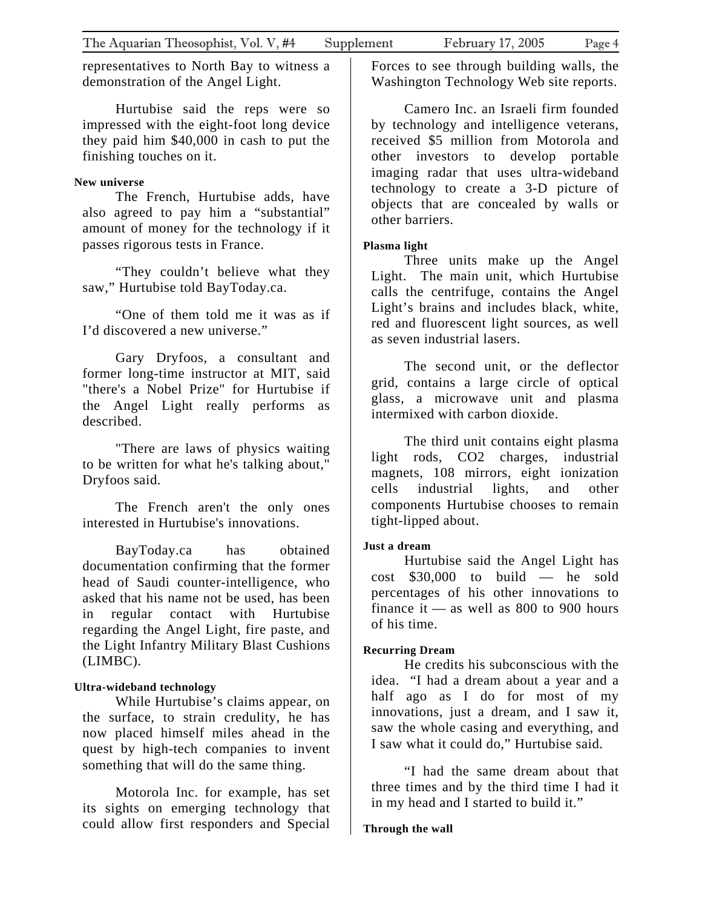representatives to North Bay to witness a demonstration of the Angel Light.

Hurtubise said the reps were so impressed with the eight-foot long device they paid him \$40,000 in cash to put the finishing touches on it.

### **New universe**

The French, Hurtubise adds, have also agreed to pay him a "substantial" amount of money for the technology if it passes rigorous tests in France.

"They couldn't believe what they saw," Hurtubise told BayToday.ca.

"One of them told me it was as if I'd discovered a new universe."

Gary Dryfoos, a consultant and former long-time instructor at MIT, said "there's a Nobel Prize" for Hurtubise if the Angel Light really performs as described.

"There are laws of physics waiting to be written for what he's talking about," Dryfoos said.

The French aren't the only ones interested in Hurtubise's innovations.

BayToday.ca has obtained documentation confirming that the former head of Saudi counter-intelligence, who asked that his name not be used, has been in regular contact with Hurtubise regarding the Angel Light, fire paste, and the Light Infantry Military Blast Cushions (LIMBC).

## **Ultra-wideband technology**

While Hurtubise's claims appear, on the surface, to strain credulity, he has now placed himself miles ahead in the quest by high-tech companies to invent something that will do the same thing.

Motorola Inc. for example, has set its sights on emerging technology that could allow first responders and Special Forces to see through building walls, the Washington Technology Web site reports.

Camero Inc. an Israeli firm founded by technology and intelligence veterans, received \$5 million from Motorola and other investors to develop portable imaging radar that uses ultra-wideband technology to create a 3-D picture of objects that are concealed by walls or other barriers.

#### **Plasma light**

Three units make up the Angel Light. The main unit, which Hurtubise calls the centrifuge, contains the Angel Light's brains and includes black, white, red and fluorescent light sources, as well as seven industrial lasers.

The second unit, or the deflector grid, contains a large circle of optical glass, a microwave unit and plasma intermixed with carbon dioxide.

The third unit contains eight plasma light rods, CO2 charges, industrial magnets, 108 mirrors, eight ionization cells industrial lights, and other components Hurtubise chooses to remain tight-lipped about.

## **Just a dream**

Hurtubise said the Angel Light has cost \$30,000 to build — he sold percentages of his other innovations to finance it — as well as  $800$  to  $900$  hours of his time.

#### **Recurring Dream**

He credits his subconscious with the idea. "I had a dream about a year and a half ago as I do for most of my innovations, just a dream, and I saw it, saw the whole casing and everything, and I saw what it could do," Hurtubise said.

"I had the same dream about that three times and by the third time I had it in my head and I started to build it."

#### **Through the wall**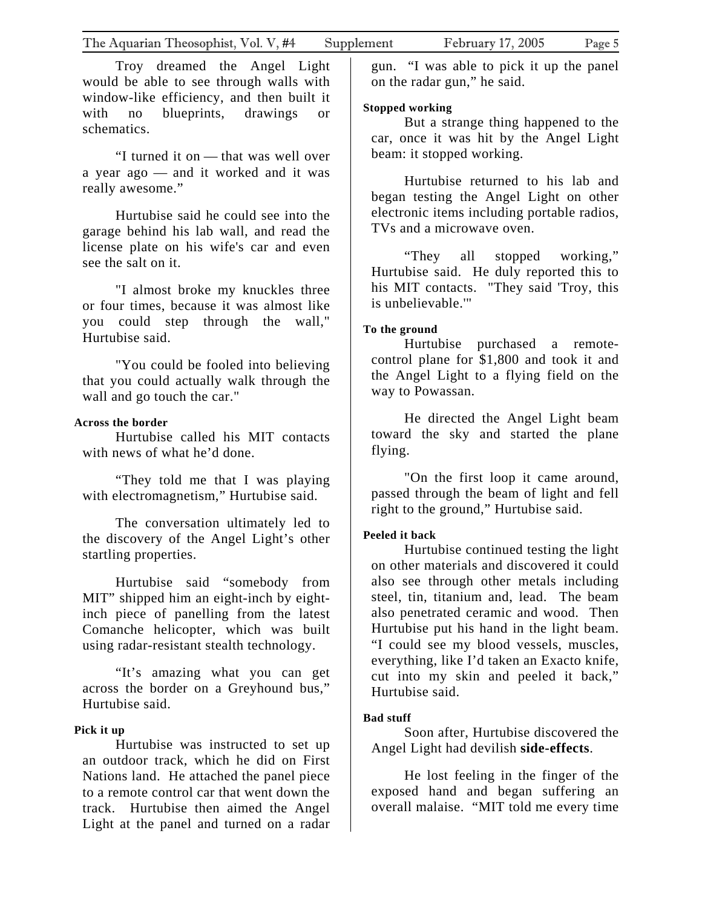Troy dreamed the Angel Light would be able to see through walls with window-like efficiency, and then built it with no blueprints, drawings or schematics.

"I turned it on — that was well over a year ago — and it worked and it was really awesome."

Hurtubise said he could see into the garage behind his lab wall, and read the license plate on his wife's car and even see the salt on it.

"I almost broke my knuckles three or four times, because it was almost like you could step through the wall," Hurtubise said.

"You could be fooled into believing that you could actually walk through the wall and go touch the car."

#### **Across the border**

Hurtubise called his MIT contacts with news of what he'd done.

"They told me that I was playing with electromagnetism," Hurtubise said.

The conversation ultimately led to the discovery of the Angel Light's other startling properties.

Hurtubise said "somebody from MIT" shipped him an eight-inch by eightinch piece of panelling from the latest Comanche helicopter, which was built using radar-resistant stealth technology.

"It's amazing what you can get across the border on a Greyhound bus," Hurtubise said.

#### **Pick it up**

Hurtubise was instructed to set up an outdoor track, which he did on First Nations land. He attached the panel piece to a remote control car that went down the track. Hurtubise then aimed the Angel Light at the panel and turned on a radar

gun. "I was able to pick it up the panel on the radar gun," he said.

## **Stopped working**

But a strange thing happened to the car, once it was hit by the Angel Light beam: it stopped working.

Hurtubise returned to his lab and began testing the Angel Light on other electronic items including portable radios, TVs and a microwave oven.

"They all stopped working," Hurtubise said. He duly reported this to his MIT contacts. "They said 'Troy, this is unbelievable.'"

# **To the ground**

Hurtubise purchased a remotecontrol plane for \$1,800 and took it and the Angel Light to a flying field on the way to Powassan.

He directed the Angel Light beam toward the sky and started the plane flying.

"On the first loop it came around, passed through the beam of light and fell right to the ground," Hurtubise said.

# **Peeled it back**

Hurtubise continued testing the light on other materials and discovered it could also see through other metals including steel, tin, titanium and, lead. The beam also penetrated ceramic and wood. Then Hurtubise put his hand in the light beam. "I could see my blood vessels, muscles, everything, like I'd taken an Exacto knife, cut into my skin and peeled it back," Hurtubise said.

# **Bad stuff**

Soon after, Hurtubise discovered the Angel Light had devilish **side-effects**.

He lost feeling in the finger of the exposed hand and began suffering an overall malaise. "MIT told me every time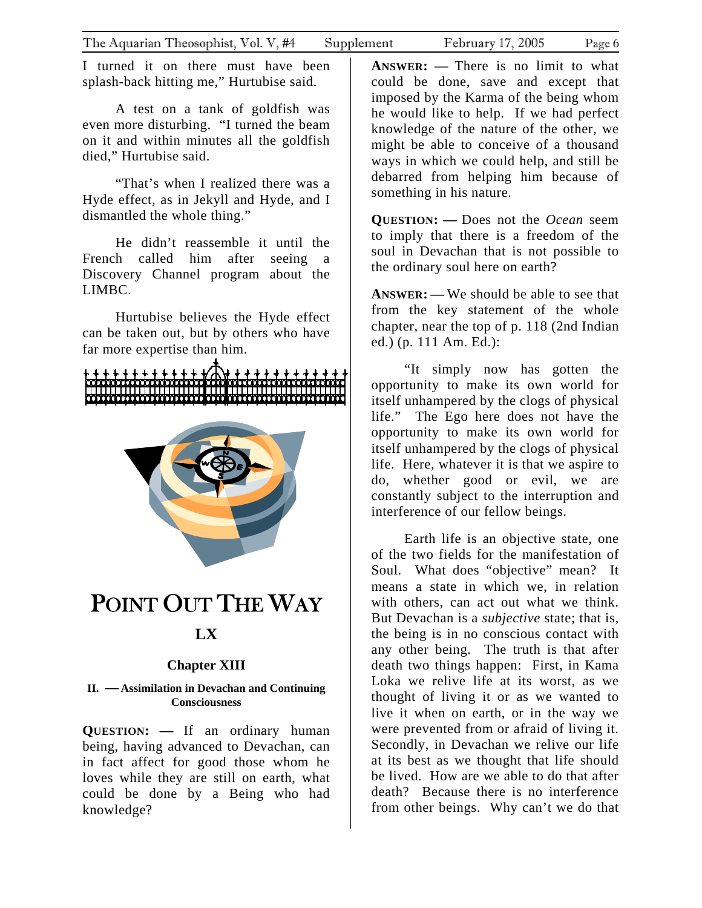<span id="page-5-0"></span>I turned it on there must have been splash-back hitting me," Hurtubise said.

A test on a tank of goldfish was even more disturbing. "I turned the beam on it and within minutes all the goldfish died," Hurtubise said.

"That's when I realized there was a Hyde effect, as in Jekyll and Hyde, and I dismantled the whole thing."

He didn't reassemble it until the French called him after seeing a Discovery Channel program about the LIMBC.

Hurtubise believes the Hyde effect can be taken out, but by others who have far more expertise than him.



# POINT OUT THE WAY **LX**

# **Chapter XIII**

**II. —Assimilation in Devachan and Continuing Consciousness**

**QUESTION: —** If an ordinary human being, having advanced to Devachan, can in fact affect for good those whom he loves while they are still on earth, what could be done by a Being who had knowledge?

**ANSWER: —** There is no limit to what could be done, save and except that imposed by the Karma of the being whom he would like to help. If we had perfect knowledge of the nature of the other, we might be able to conceive of a thousand ways in which we could help, and still be debarred from helping him because of something in his nature.

**QUESTION: —** Does not the *Ocean* seem to imply that there is a freedom of the soul in Devachan that is not possible to the ordinary soul here on earth?

**ANSWER: —** We should be able to see that from the key statement of the whole chapter, near the top of p. 118 (2nd Indian ed.) (p. 111 Am. Ed.):

"It simply now has gotten the opportunity to make its own world for itself unhampered by the clogs of physical life." The Ego here does not have the opportunity to make its own world for itself unhampered by the clogs of physical life. Here, whatever it is that we aspire to do, whether good or evil, we are constantly subject to the interruption and interference of our fellow beings.

Earth life is an objective state, one of the two fields for the manifestation of Soul. What does "objective" mean? It means a state in which we, in relation with others, can act out what we think. But Devachan is a *subjective* state; that is, the being is in no conscious contact with any other being. The truth is that after death two things happen: First, in Kama Loka we relive life at its worst, as we thought of living it or as we wanted to live it when on earth, or in the way we were prevented from or afraid of living it. Secondly, in Devachan we relive our life at its best as we thought that life should be lived. How are we able to do that after death? Because there is no interference from other beings. Why can't we do that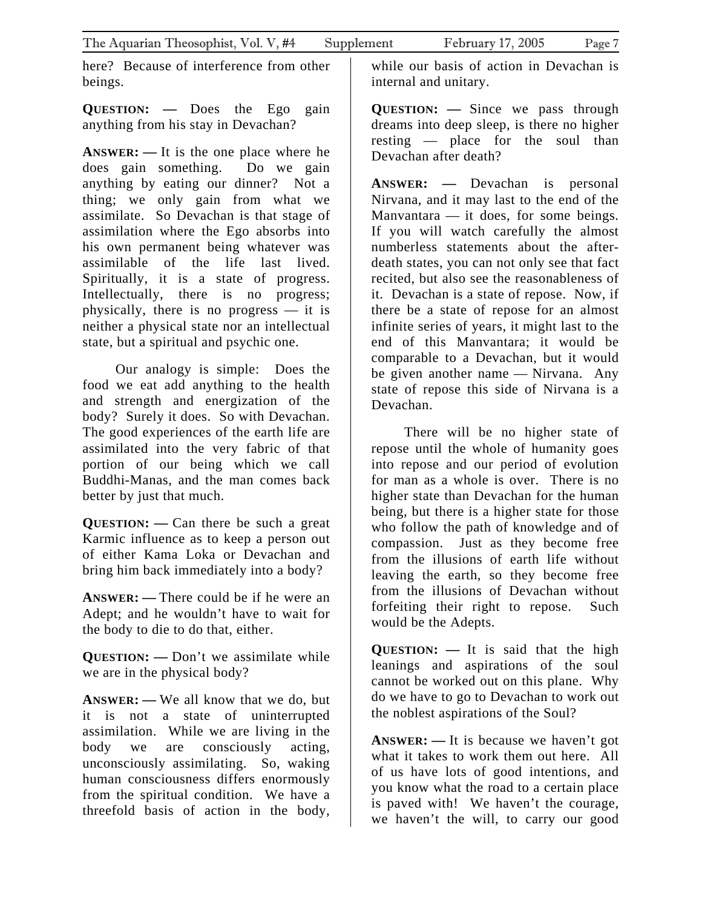here? Because of interference from other beings.

**QUESTION: —** Does the Ego gain anything from his stay in Devachan?

**ANSWER: —** It is the one place where he does gain something. Do we gain anything by eating our dinner? Not a thing; we only gain from what we assimilate. So Devachan is that stage of assimilation where the Ego absorbs into his own permanent being whatever was assimilable of the life last lived. Spiritually, it is a state of progress. Intellectually, there is no progress; physically, there is no progress — it is neither a physical state nor an intellectual state, but a spiritual and psychic one.

Our analogy is simple: Does the food we eat add anything to the health and strength and energization of the body? Surely it does. So with Devachan. The good experiences of the earth life are assimilated into the very fabric of that portion of our being which we call Buddhi-Manas, and the man comes back better by just that much.

**QUESTION: —** Can there be such a great Karmic influence as to keep a person out of either Kama Loka or Devachan and bring him back immediately into a body?

**ANSWER: —** There could be if he were an Adept; and he wouldn't have to wait for the body to die to do that, either.

**QUESTION: —** Don't we assimilate while we are in the physical body?

**ANSWER: —** We all know that we do, but it is not a state of uninterrupted assimilation. While we are living in the body we are consciously acting, unconsciously assimilating. So, waking human consciousness differs enormously from the spiritual condition. We have a threefold basis of action in the body,

while our basis of action in Devachan is internal and unitary.

**QUESTION: —** Since we pass through dreams into deep sleep, is there no higher resting — place for the soul than Devachan after death?

**ANSWER: —** Devachan is personal Nirvana, and it may last to the end of the Manvantara  $-$  it does, for some beings. If you will watch carefully the almost numberless statements about the afterdeath states, you can not only see that fact recited, but also see the reasonableness of it. Devachan is a state of repose. Now, if there be a state of repose for an almost infinite series of years, it might last to the end of this Manvantara; it would be comparable to a Devachan, but it would be given another name — Nirvana. Any state of repose this side of Nirvana is a Devachan.

There will be no higher state of repose until the whole of humanity goes into repose and our period of evolution for man as a whole is over. There is no higher state than Devachan for the human being, but there is a higher state for those who follow the path of knowledge and of compassion. Just as they become free from the illusions of earth life without leaving the earth, so they become free from the illusions of Devachan without forfeiting their right to repose. Such would be the Adepts.

**QUESTION: —** It is said that the high leanings and aspirations of the soul cannot be worked out on this plane. Why do we have to go to Devachan to work out the noblest aspirations of the Soul?

**ANSWER: —** It is because we haven't got what it takes to work them out here. All of us have lots of good intentions, and you know what the road to a certain place is paved with! We haven't the courage, we haven't the will, to carry our good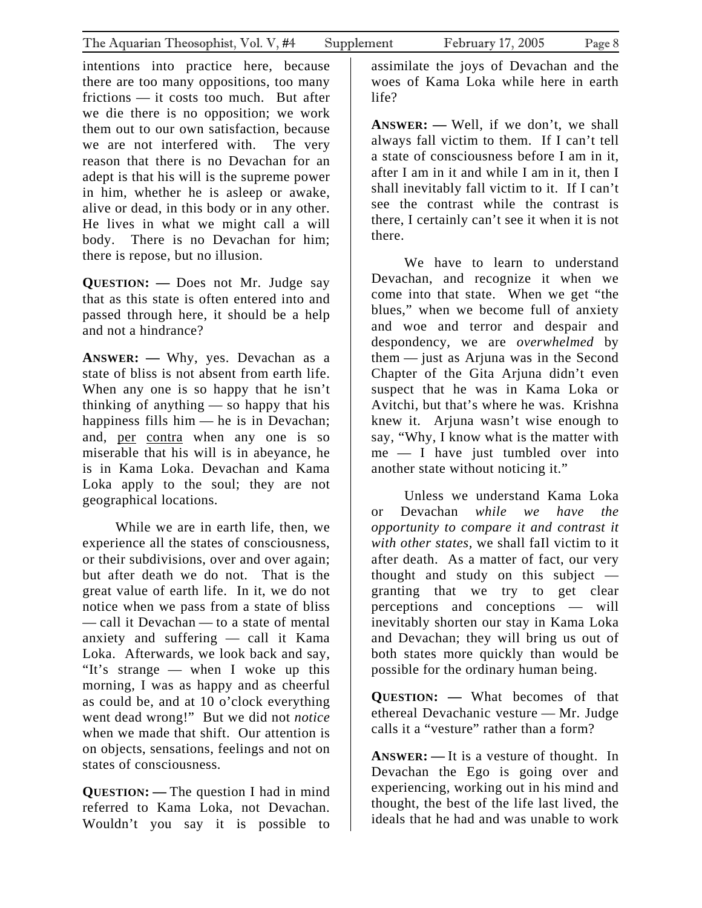intentions into practice here, because there are too many oppositions, too many frictions — it costs too much. But after we die there is no opposition; we work them out to our own satisfaction, because we are not interfered with. The very reason that there is no Devachan for an adept is that his will is the supreme power in him, whether he is asleep or awake, alive or dead, in this body or in any other. He lives in what we might call a will body. There is no Devachan for him; there is repose, but no illusion.

**QUESTION: —** Does not Mr. Judge say that as this state is often entered into and passed through here, it should be a help and not a hindrance?

**ANSWER: —** Why, yes. Devachan as a state of bliss is not absent from earth life. When any one is so happy that he isn't thinking of anything — so happy that his happiness fills him — he is in Devachan; and, per contra when any one is so miserable that his will is in abeyance, he is in Kama Loka. Devachan and Kama Loka apply to the soul; they are not geographical locations.

While we are in earth life, then, we experience all the states of consciousness, or their subdivisions, over and over again; but after death we do not. That is the great value of earth life. In it, we do not notice when we pass from a state of bliss — call it Devachan — to a state of mental anxiety and suffering — call it Kama Loka. Afterwards, we look back and say, "It's strange — when I woke up this morning, I was as happy and as cheerful as could be, and at 10 o'clock everything went dead wrong!" But we did not *notice* when we made that shift. Our attention is on objects, sensations, feelings and not on states of consciousness.

**QUESTION: —** The question I had in mind referred to Kama Loka, not Devachan. Wouldn't you say it is possible to

assimilate the joys of Devachan and the woes of Kama Loka while here in earth life?

**ANSWER: —** Well, if we don't, we shall always fall victim to them. If I can't tell a state of consciousness before I am in it, after I am in it and while I am in it, then I shall inevitably fall victim to it. If I can't see the contrast while the contrast is there, I certainly can't see it when it is not there.

We have to learn to understand Devachan, and recognize it when we come into that state. When we get "the blues," when we become full of anxiety and woe and terror and despair and despondency, we are *overwhelmed* by them — just as Arjuna was in the Second Chapter of the Gita Arjuna didn't even suspect that he was in Kama Loka or Avitchi, but that's where he was. Krishna knew it. Arjuna wasn't wise enough to say, "Why, I know what is the matter with me — I have just tumbled over into another state without noticing it."

Unless we understand Kama Loka or Devachan *while we have the opportunity to compare it and contrast it with other states,* we shall faIl victim to it after death. As a matter of fact, our very thought and study on this subject granting that we try to get clear perceptions and conceptions — will inevitably shorten our stay in Kama Loka and Devachan; they will bring us out of both states more quickly than would be possible for the ordinary human being.

**QUESTION: —** What becomes of that ethereal Devachanic vesture — Mr. Judge calls it a "vesture" rather than a form?

**ANSWER: —** It is a vesture of thought. In Devachan the Ego is going over and experiencing, working out in his mind and thought, the best of the life last lived, the ideals that he had and was unable to work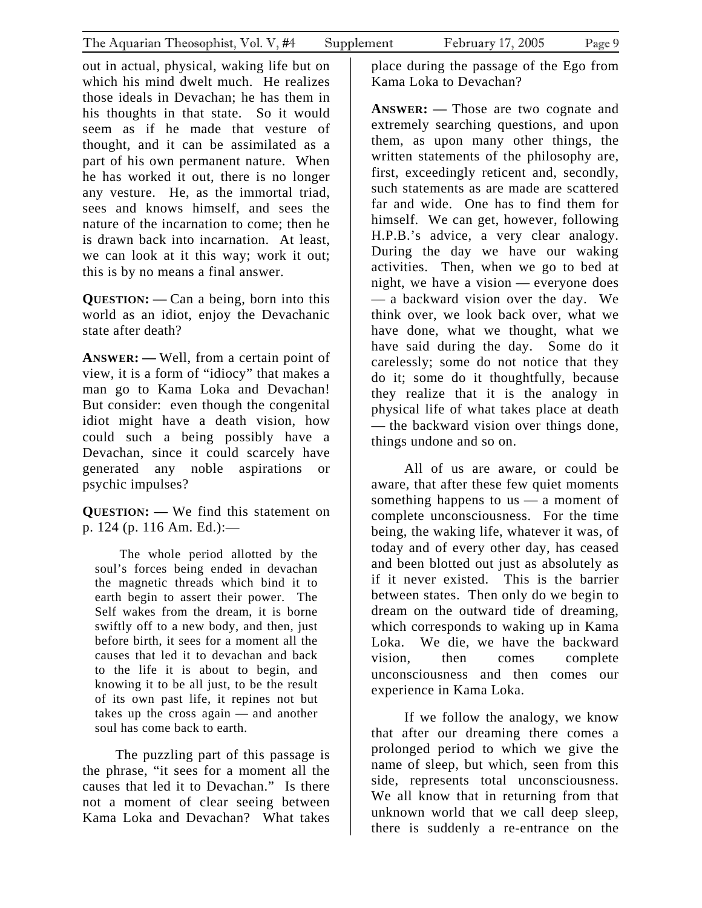out in actual, physical, waking life but on which his mind dwelt much. He realizes those ideals in Devachan; he has them in his thoughts in that state. So it would seem as if he made that vesture of thought, and it can be assimilated as a part of his own permanent nature. When he has worked it out, there is no longer any vesture. He, as the immortal triad, sees and knows himself, and sees the nature of the incarnation to come; then he is drawn back into incarnation. At least,

**QUESTION: —** Can a being, born into this world as an idiot, enjoy the Devachanic state after death?

we can look at it this way; work it out;

this is by no means a final answer.

**ANSWER: —** Well, from a certain point of view, it is a form of "idiocy" that makes a man go to Kama Loka and Devachan! But consider: even though the congenital idiot might have a death vision, how could such a being possibly have a Devachan, since it could scarcely have generated any noble aspirations or psychic impulses?

**QUESTION: —** We find this statement on p. 124 (p. 116 Am. Ed.):—

The whole period allotted by the soul's forces being ended in devachan the magnetic threads which bind it to earth begin to assert their power. The Self wakes from the dream, it is borne swiftly off to a new body, and then, just before birth, it sees for a moment all the causes that led it to devachan and back to the life it is about to begin, and knowing it to be all just, to be the result of its own past life, it repines not but takes up the cross again — and another soul has come back to earth.

The puzzling part of this passage is the phrase, "it sees for a moment all the causes that led it to Devachan." Is there not a moment of clear seeing between Kama Loka and Devachan? What takes

place during the passage of the Ego from Kama Loka to Devachan?

**ANSWER: —** Those are two cognate and extremely searching questions, and upon them, as upon many other things, the written statements of the philosophy are, first, exceedingly reticent and, secondly, such statements as are made are scattered far and wide. One has to find them for himself. We can get, however, following H.P.B.'s advice, a very clear analogy. During the day we have our waking activities. Then, when we go to bed at night, we have a vision — everyone does — a backward vision over the day. We think over, we look back over, what we have done, what we thought, what we have said during the day. Some do it carelessly; some do not notice that they do it; some do it thoughtfully, because they realize that it is the analogy in physical life of what takes place at death — the backward vision over things done, things undone and so on.

All of us are aware, or could be aware, that after these few quiet moments something happens to us — a moment of complete unconsciousness. For the time being, the waking life, whatever it was, of today and of every other day, has ceased and been blotted out just as absolutely as if it never existed. This is the barrier between states. Then only do we begin to dream on the outward tide of dreaming, which corresponds to waking up in Kama Loka. We die, we have the backward vision, then comes complete unconsciousness and then comes our experience in Kama Loka.

If we follow the analogy, we know that after our dreaming there comes a prolonged period to which we give the name of sleep, but which, seen from this side, represents total unconsciousness. We all know that in returning from that unknown world that we call deep sleep, there is suddenly a re-entrance on the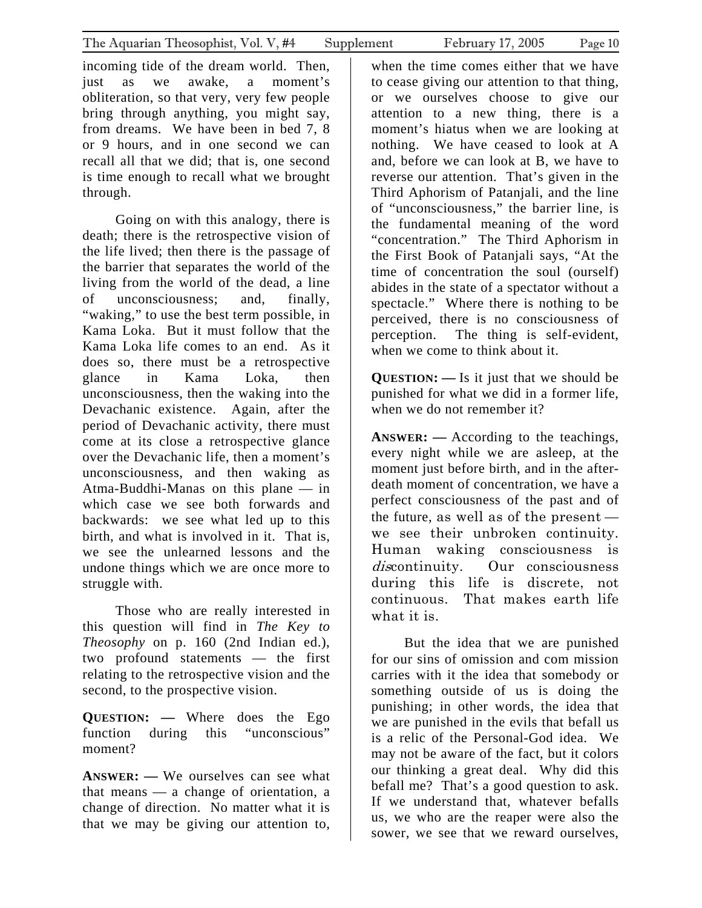incoming tide of the dream world. Then, just as we awake, a moment's obliteration, so that very, very few people bring through anything, you might say, from dreams. We have been in bed 7, 8 or 9 hours, and in one second we can recall all that we did; that is, one second is time enough to recall what we brought through.

Going on with this analogy, there is death; there is the retrospective vision of the life lived; then there is the passage of the barrier that separates the world of the living from the world of the dead, a line of unconsciousness; and, finally, "waking," to use the best term possible, in Kama Loka. But it must follow that the Kama Loka life comes to an end. As it does so, there must be a retrospective glance in Kama Loka, then unconsciousness, then the waking into the Devachanic existence. Again, after the period of Devachanic activity, there must come at its close a retrospective glance over the Devachanic life, then a moment's unconsciousness, and then waking as Atma-Buddhi-Manas on this plane — in which case we see both forwards and backwards: we see what led up to this birth, and what is involved in it. That is, we see the unlearned lessons and the undone things which we are once more to struggle with.

Those who are really interested in this question will find in *The Key to Theosophy* on p. 160 (2nd Indian ed.), two profound statements — the first relating to the retrospective vision and the second, to the prospective vision.

**QUESTION: —** Where does the Ego function during this "unconscious" moment?

**ANSWER: —** We ourselves can see what that means — a change of orientation, a change of direction. No matter what it is that we may be giving our attention to,

when the time comes either that we have to cease giving our attention to that thing, or we ourselves choose to give our attention to a new thing, there is a moment's hiatus when we are looking at nothing. We have ceased to look at A and, before we can look at B, we have to reverse our attention. That's given in the Third Aphorism of Patanjali, and the line of "unconsciousness," the barrier line, is the fundamental meaning of the word "concentration." The Third Aphorism in the First Book of Patanjali says, "At the time of concentration the soul (ourself) abides in the state of a spectator without a spectacle." Where there is nothing to be perceived, there is no consciousness of perception. The thing is self-evident, when we come to think about it.

**QUESTION: —** Is it just that we should be punished for what we did in a former life, when we do not remember it?

**ANSWER: —** According to the teachings, every night while we are asleep, at the moment just before birth, and in the afterdeath moment of concentration, we have a perfect consciousness of the past and of the future, as well as of the present we see their unbroken continuity. Human waking consciousness is discontinuity. Our consciousness during this life is discrete, not continuous. That makes earth life what it is.

But the idea that we are punished for our sins of omission and com mission carries with it the idea that somebody or something outside of us is doing the punishing; in other words, the idea that we are punished in the evils that befall us is a relic of the Personal-God idea. We may not be aware of the fact, but it colors our thinking a great deal. Why did this befall me? That's a good question to ask. If we understand that, whatever befalls us, we who are the reaper were also the sower, we see that we reward ourselves,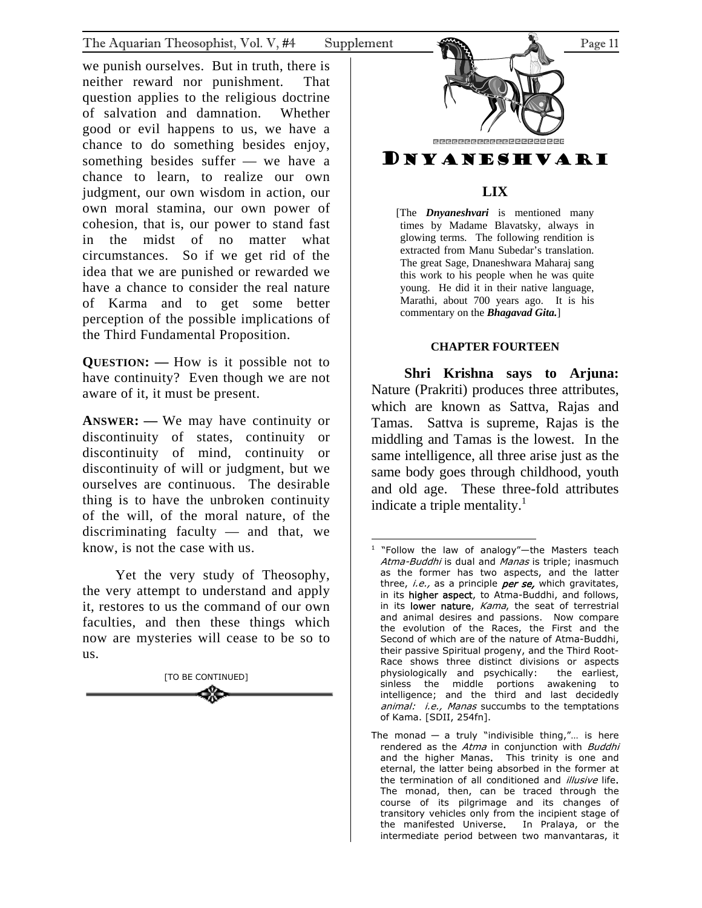<span id="page-10-0"></span>we punish ourselves. But in truth, there is neither reward nor punishment. That question applies to the religious doctrine of salvation and damnation. Whether good or evil happens to us, we have a chance to do something besides enjoy, something besides suffer — we have a chance to learn, to realize our own judgment, our own wisdom in action, our own moral stamina, our own power of cohesion, that is, our power to stand fast in the midst of no matter what circumstances. So if we get rid of the idea that we are punished or rewarded we have a chance to consider the real nature of Karma and to get some better perception of the possible implications of the Third Fundamental Proposition.

**QUESTION: —** How is it possible not to have continuity? Even though we are not aware of it, it must be present.

**ANSWER: —** We may have continuity or discontinuity of states, continuity or discontinuity of mind, continuity or discontinuity of will or judgment, but we ourselves are continuous. The desirable thing is to have the unbroken continuity of the will, of the moral nature, of the discriminating faculty — and that, we know, is not the case with us.

Yet the very study of Theosophy, the very attempt to understand and apply it, restores to us the command of our own faculties, and then these things which now are mysteries will cease to be so to us.





# **LIX**

[The *Dnyaneshvari* is mentioned many times by Madame Blavatsky, always in glowing terms. The following rendition is extracted from Manu Subedar's translation. The great Sage, Dnaneshwara Maharaj sang this work to his people when he was quite young. He did it in their native language, Marathi, about 700 years ago. It is his commentary on the *Bhagavad Gita.*]

# **CHAPTER FOURTEEN**

**Shri Krishna says to Arjuna:**  Nature (Prakriti) produces three attributes, which are known as Sattva, Rajas and Tamas. Sattva is supreme, Rajas is the middling and Tamas is the lowest. In the same intelligence, all three arise just as the same body goes through childhood, youth and old age. These three-fold attributes indicate a triple mentality. $<sup>1</sup>$ </sup>

<span id="page-10-1"></span> 1 "Follow the law of analogy"—the Masters teach Atma-Buddhi is dual and Manas is triple; inasmuch as the former has two asp[ec](#page-10-1)ts, and the latter three, *i.e.*, as a principle *per se*, which gravitates, in its higher aspect, to Atma-Buddhi, and follows, in its lower nature, Kama, the seat of terrestrial and animal desires and passions. Now compare the evolution of the Races, the First and the Second of which are of the nature of Atma-Buddhi, their passive Spiritual progeny, and the Third Root-Race shows three distinct divisions or aspects physiologically and psychically: the earliest, sinless the middle portions awakening to intelligence; and the third and last decidedly animal: i.e., Manas succumbs to the temptations of Kama. [SDII, 254fn].

The monad  $-$  a truly "indivisible thing,"... is here rendered as the Atma in conjunction with Buddhi and the higher Manas. This trinity is one and eternal, the latter being absorbed in the former at the termination of all conditioned and *illusive* life. The monad, then, can be traced through the course of its pilgrimage and its changes of transitory vehicles only from the incipient stage of the manifested Universe. In Pralaya, or the intermediate period between two manvantaras, it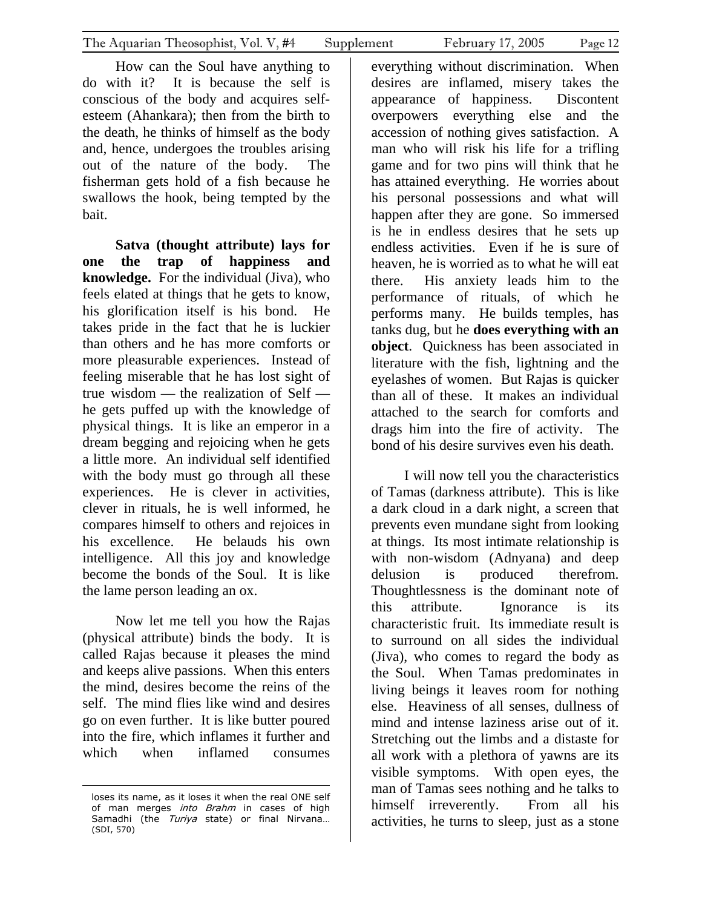How can the Soul have anything to do with it? It is because the self is conscious of the body and acquires selfesteem (Ahankara); then from the birth to the death, he thinks of himself as the body and, hence, undergoes the troubles arising out of the nature of the body. The fisherman gets hold of a fish because he swallows the hook, being tempted by the bait.

**Satva (thought attribute) lays for one the trap of happiness and knowledge.** For the individual (Jiva), who feels elated at things that he gets to know, his glorification itself is his bond. He takes pride in the fact that he is luckier than others and he has more comforts or more pleasurable experiences. Instead of feeling miserable that he has lost sight of true wisdom — the realization of Self he gets puffed up with the knowledge of physical things. It is like an emperor in a dream begging and rejoicing when he gets a little more. An individual self identified with the body must go through all these experiences. He is clever in activities, clever in rituals, he is well informed, he compares himself to others and rejoices in his excellence. He belauds his own intelligence. All this joy and knowledge become the bonds of the Soul. It is like the lame person leading an ox.

Now let me tell you how the Rajas (physical attribute) binds the body. It is called Rajas because it pleases the mind and keeps alive passions. When this enters the mind, desires become the reins of the self. The mind flies like wind and desires go on even further. It is like butter poured into the fire, which inflames it further and which when inflamed consumes

 $\overline{a}$ 

everything without discrimination. When desires are inflamed, misery takes the appearance of happiness. Discontent overpowers everything else and the accession of nothing gives satisfaction. A man who will risk his life for a trifling game and for two pins will think that he has attained everything. He worries about his personal possessions and what will happen after they are gone. So immersed is he in endless desires that he sets up endless activities. Even if he is sure of heaven, he is worried as to what he will eat there. His anxiety leads him to the performance of rituals, of which he performs many. He builds temples, has tanks dug, but he **does everything with an object**. Quickness has been associated in literature with the fish, lightning and the eyelashes of women. But Rajas is quicker than all of these. It makes an individual attached to the search for comforts and drags him into the fire of activity. The bond of his desire survives even his death.

I will now tell you the characteristics of Tamas (darkness attribute). This is like a dark cloud in a dark night, a screen that prevents even mundane sight from looking at things. Its most intimate relationship is with non-wisdom (Adnyana) and deep delusion is produced therefrom. Thoughtlessness is the dominant note of this attribute. Ignorance is its characteristic fruit. Its immediate result is to surround on all sides the individual (Jiva), who comes to regard the body as the Soul. When Tamas predominates in living beings it leaves room for nothing else. Heaviness of all senses, dullness of mind and intense laziness arise out of it. Stretching out the limbs and a distaste for all work with a plethora of yawns are its visible symptoms. With open eyes, the man of Tamas sees nothing and he talks to himself irreverently. From all his activities, he turns to sleep, just as a stone

loses its name, as it loses it when the real ONE self of man merges into Brahm in cases of high Samadhi (the Turiya state) or final Nirvana... (SDI, 570)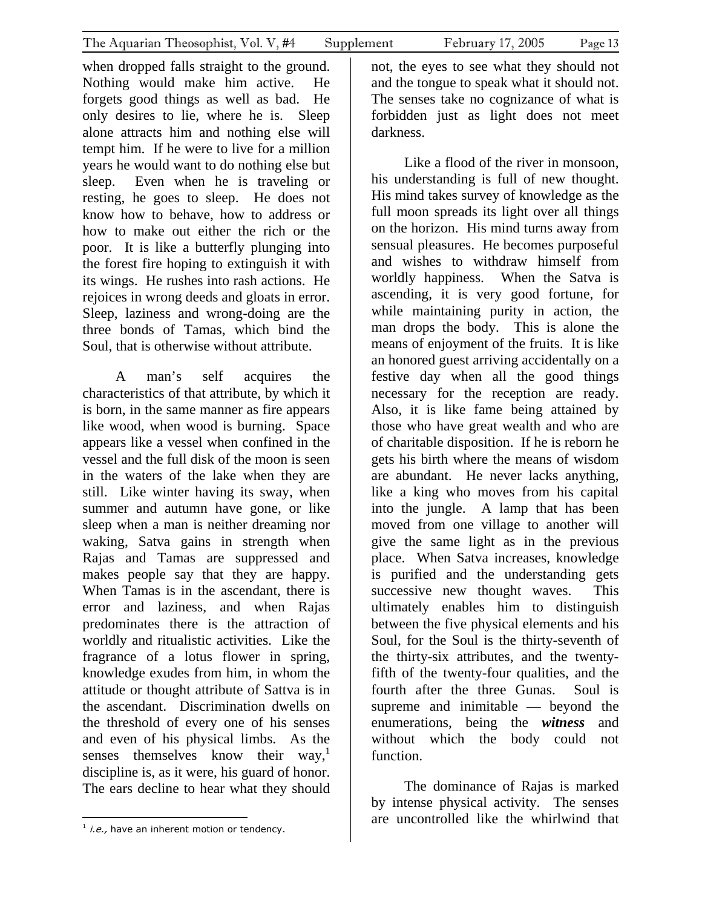when dropped falls straight to the ground. Nothing would make him active. He forgets good things as well as bad. He only desires to lie, where he is. Sleep alone attracts him and nothing else will tempt him. If he were to live for a million years he would want to do nothing else but sleep. Even when he is traveling or resting, he goes to sleep. He does not know how to behave, how to address or how to make out either the rich or the poor. It is like a butterfly plunging into the forest fire hoping to extinguish it with its wings. He rushes into rash actions. He rejoices in wrong deeds and gloats in error. Sleep, laziness and wrong-doing are the three bonds of Tamas, which bind the Soul, that is otherwise without attribute.

A man's self acquires the characteristics of that attribute, by which it is born, in the same manner as fire appears like wood, when wood is burning. Space appears like a vessel when confined in the vessel and the full disk of the moon is seen in the waters of the lake when they are still. Like winter having its sway, when summer and autumn have gone, or like sleep when a man is neither dreaming nor waking, Satva gains in strength when Rajas and Tamas are suppressed and makes people say that they are happy. When Tamas is in the ascendant, there is error and laziness, and when Rajas predominates there is the attraction of worldly and ritualistic activities. Like the fragrance of a lotus flower in spring, knowledge exudes from him, in whom the attitude or thought attribute of Sattva is in the ascendant. Discrimination dwells on the threshold of every one of his senses and even of his physical limbs. As the senses themselves know their way,<sup>1</sup> discipline is, as it were, his guard of honor. The ears decline to hear what they should

Like a flood of the river in monsoon, his understanding is full of new thought. His mind takes survey of knowledge as the full moon spreads its light over all things on the horizon. His mind turns away from sensual pleasures. He becomes purposeful and wishes to withdraw himself from worldly happiness. When the Satva is ascending, it is very good fortune, for while maintaining purity in action, the man drops the body. This is alone the means of enjoyment of the fruits. It is like an honored guest arriving accidentally on a festive day when all the good things necessary for the reception are ready. Also, it is like fame being attained by those who have great wealth and who are of charitable disposition. If he is reborn he gets his birth where the means of wisdom are abundant. He never lacks anything, like a king who moves from his capital into the jungle. A lamp that has been moved from one village to another will give the same light as in the previous place. When Satva increases, knowledge is purified and the understanding gets successive new thought waves. This ultimately enables him to distinguish between the five physical elements and his Soul, for the Soul is the thirty-seventh of the thirty-six attributes, and the twentyfifth of the twenty-four qualities, and the fourth after the three Gunas. Soul is supreme and inimitable — beyond the enumerations, being the *witness* and without which the body could not function.

<span id="page-12-0"></span>The dominance of Rajas is marked by intense physical activity. The senses are uncontrolled like the whirlwind that

 $\overline{a}$  $1$  *i.e.*, have an inherent motion or tendency.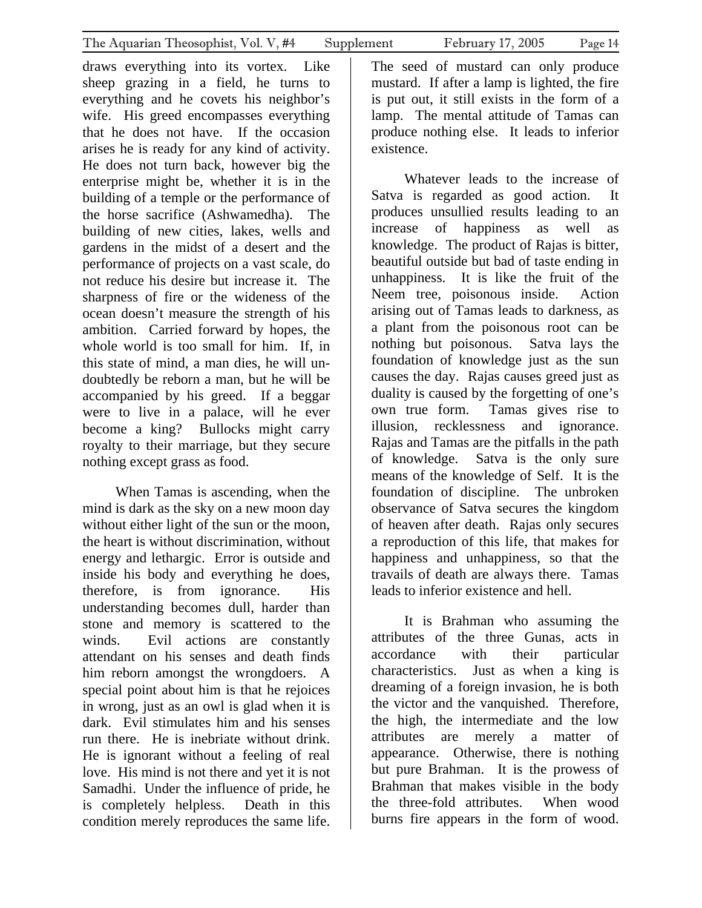draws everything into its vortex. Like sheep grazing in a field, he turns to everything and he covets his neighbor's wife. His greed encompasses everything that he does not have. If the occasion arises he is ready for any kind of activity. He does not turn back, however big the enterprise might be, whether it is in the building of a temple or the performance of the horse sacrifice (Ashwamedha). The building of new cities, lakes, wells and gardens in the midst of a desert and the performance of projects on a vast scale, do not reduce his desire but increase it. The sharpness of fire or the wideness of the ocean doesn't measure the strength of his ambition. Carried forward by hopes, the whole world is too small for him. If, in this state of mind, a man dies, he will undoubtedly be reborn a man, but he will be accompanied by his greed. If a beggar were to live in a palace, will he ever become a king? Bullocks might carry royalty to their marriage, but they secure nothing except grass as food.

When Tamas is ascending, when the mind is dark as the sky on a new moon day without either light of the sun or the moon. the heart is without discrimination, without energy and lethargic. Error is outside and inside his body and everything he does, therefore, is from ignorance. His understanding becomes dull, harder than stone and memory is scattered to the winds. Evil actions are constantly attendant on his senses and death finds him reborn amongst the wrongdoers. A special point about him is that he rejoices in wrong, just as an owl is glad when it is dark. Evil stimulates him and his senses run there. He is inebriate without drink. He is ignorant without a feeling of real love. His mind is not there and yet it is not Samadhi. Under the influence of pride, he is completely helpless. Death in this condition merely reproduces the same life.

The seed of mustard can only produce mustard. If after a lamp is lighted, the fire is put out, it still exists in the form of a lamp. The mental attitude of Tamas can produce nothing else. It leads to inferior existence.

Whatever leads to the increase of Satva is regarded as good action. It produces unsullied results leading to an increase of happiness as well as knowledge. The product of Rajas is bitter, beautiful outside but bad of taste ending in unhappiness. It is like the fruit of the Neem tree, poisonous inside. Action arising out of Tamas leads to darkness, as a plant from the poisonous root can be nothing but poisonous. Satva lays the foundation of knowledge just as the sun causes the day. Rajas causes greed just as duality is caused by the forgetting of one's own true form. Tamas gives rise to illusion, recklessness and ignorance. Rajas and Tamas are the pitfalls in the path of knowledge. Satva is the only sure means of the knowledge of Self. It is the foundation of discipline. The unbroken observance of Satva secures the kingdom of heaven after death. Rajas only secures a reproduction of this life, that makes for happiness and unhappiness, so that the travails of death are always there. Tamas leads to inferior existence and hell.

It is Brahman who assuming the attributes of the three Gunas, acts in accordance with their particular characteristics. Just as when a king is dreaming of a foreign invasion, he is both the victor and the vanquished. Therefore, the high, the intermediate and the low attributes are merely a matter of appearance. Otherwise, there is nothing but pure Brahman. It is the prowess of Brahman that makes visible in the body the three-fold attributes. When wood burns fire appears in the form of wood.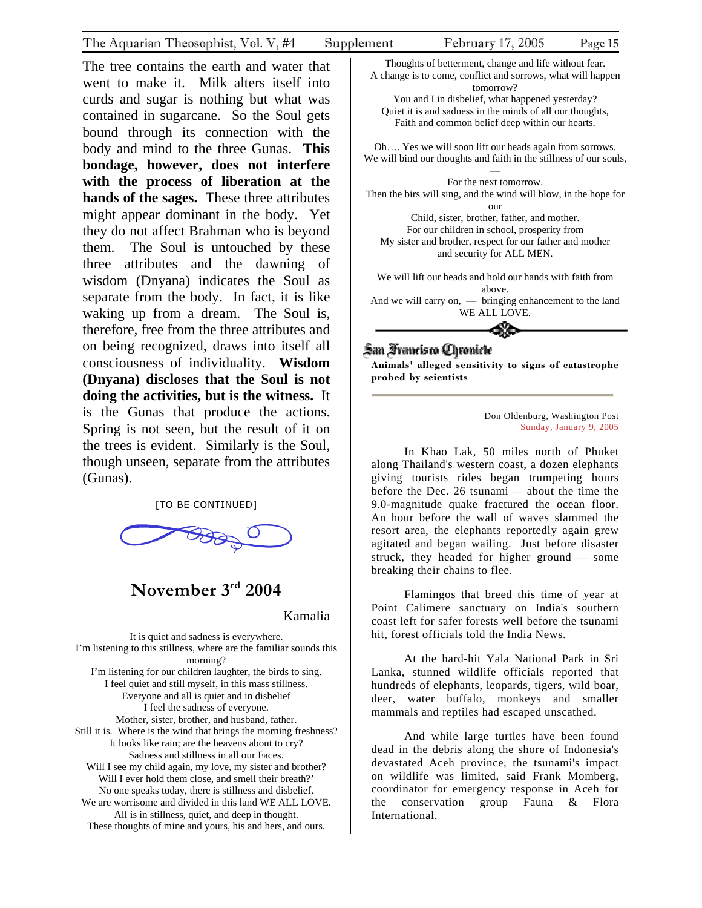<span id="page-14-0"></span>The tree contains the earth and water that went to make it. Milk alters itself into curds and sugar is nothing but what was contained in sugarcane. So the Soul gets bound through its connection with the body and mind to the three Gunas. **This bondage, however, does not interfere with the process of liberation at the hands of the sages.** These three attributes might appear dominant in the body. Yet they do not affect Brahman who is beyond them. The Soul is untouched by these three attributes and the dawning of wisdom (Dnyana) indicates the Soul as separate from the body. In fact, it is like waking up from a dream. The Soul is, therefore, free from the three attributes and on being recognized, draws into itself all consciousness of individuality. **Wisdom (Dnyana) discloses that the Soul is not doing the activities, but is the witness.** It is the Gunas that produce the actions. Spring is not seen, but the result of it on the trees is evident. Similarly is the Soul, though unseen, separate from the attributes (Gunas).

[TO BE CONTINUED]



# **November 3rd 2004**

Kamalia

It is quiet and sadness is everywhere. I'm listening to this stillness, where are the familiar sounds this morning? I'm listening for our children laughter, the birds to sing. I feel quiet and still myself, in this mass stillness. Everyone and all is quiet and in disbelief I feel the sadness of everyone. Mother, sister, brother, and husband, father. Still it is. Where is the wind that brings the morning freshness? It looks like rain; are the heavens about to cry? Sadness and stillness in all our Faces. Will I see my child again, my love, my sister and brother? Will I ever hold them close, and smell their breath?' No one speaks today, there is stillness and disbelief. We are worrisome and divided in this land WE ALL LOVE. All is in stillness, quiet, and deep in thought. These thoughts of mine and yours, his and hers, and ours.



Then the birs will sing, and the wind will blow, in the hope for our

Child, sister, brother, father, and mother. For our children in school, prosperity from My sister and brother, respect for our father and mother and security for ALL MEN.

We will lift our heads and hold our hands with faith from above. And we will carry on, — bringing enhancement to the land WE ALL LOVE.

≪

# San Francisco Chronicle

**Animals' alleged sensitivity to signs of catastrophe probed by scientists** 

> Don Oldenburg, Washington Post Sunday, January 9, 2005

In Khao Lak, 50 miles north of Phuket along Thailand's western coast, a dozen elephants giving tourists rides began trumpeting hours before the Dec. 26 tsunami — about the time the 9.0-magnitude quake fractured the ocean floor. An hour before the wall of waves slammed the resort area, the elephants reportedly again grew agitated and began wailing. Just before disaster struck, they headed for higher ground — some breaking their chains to flee.

Flamingos that breed this time of year at Point Calimere sanctuary on India's southern coast left for safer forests well before the tsunami hit, forest officials told the India News.

At the hard-hit Yala National Park in Sri Lanka, stunned wildlife officials reported that hundreds of elephants, leopards, tigers, wild boar, deer, water buffalo, monkeys and smaller mammals and reptiles had escaped unscathed.

And while large turtles have been found dead in the debris along the shore of Indonesia's devastated Aceh province, the tsunami's impact on wildlife was limited, said Frank Momberg, coordinator for emergency response in Aceh for the conservation group Fauna & Flora International.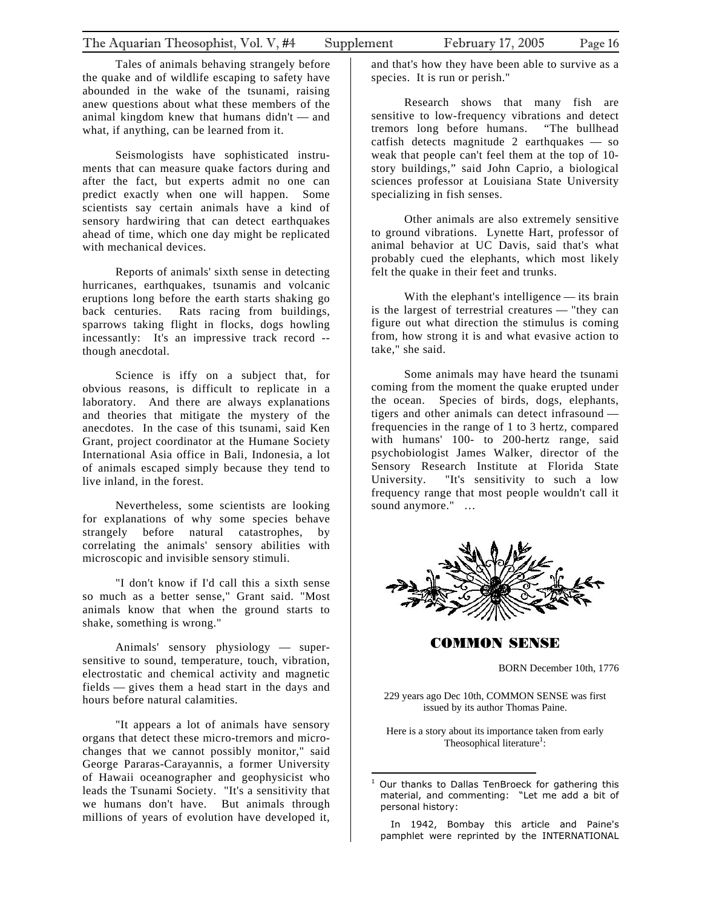<span id="page-15-0"></span>Tales of animals behaving strangely before the quake and of wildlife escaping to safety have abounded in the wake of the tsunami, raising anew questions about what these members of the animal kingdom knew that humans didn't — and what, if anything, can be learned from it.

Seismologists have sophisticated instruments that can measure quake factors during and after the fact, but experts admit no one can predict exactly when one will happen. Some scientists say certain animals have a kind of sensory hardwiring that can detect earthquakes ahead of time, which one day might be replicated with mechanical devices.

Reports of animals' sixth sense in detecting hurricanes, earthquakes, tsunamis and volcanic eruptions long before the earth starts shaking go back centuries. Rats racing from buildings, sparrows taking flight in flocks, dogs howling incessantly: It's an impressive track record - though anecdotal.

Science is iffy on a subject that, for obvious reasons, is difficult to replicate in a laboratory. And there are always explanations and theories that mitigate the mystery of the anecdotes. In the case of this tsunami, said Ken Grant, project coordinator at the Humane Society International Asia office in Bali, Indonesia, a lot of animals escaped simply because they tend to live inland, in the forest.

Nevertheless, some scientists are looking for explanations of why some species behave strangely before natural catastrophes, by correlating the animals' sensory abilities with microscopic and invisible sensory stimuli.

"I don't know if I'd call this a sixth sense so much as a better sense," Grant said. "Most animals know that when the ground starts to shake, something is wrong."

Animals' sensory physiology — supersensitive to sound, temperature, touch, vibration, electrostatic and chemical activity and magnetic fields — gives them a head start in the days and hours before natural calamities.

"It appears a lot of animals have sensory organs that detect these micro-tremors and microchanges that we cannot possibly monitor," said George Pararas-Carayannis, a former University of Hawaii oceanographer and geophysicist who leads the Tsunami Society. "It's a sensitivity that we humans don't have. But animals through millions of years of evolution have developed it,

and that's how they have been able to survive as a species. It is run or perish."

Research shows that many fish are sensitive to low-frequency vibrations and detect tremors long before humans. "The bullhead catfish detects magnitude 2 earthquakes — so weak that people can't feel them at the top of 10 story buildings," said John Caprio, a biological sciences professor at Louisiana State University specializing in fish senses.

Other animals are also extremely sensitive to ground vibrations. Lynette Hart, professor of animal behavior at UC Davis, said that's what probably cued the elephants, which most likely felt the quake in their feet and trunks.

With the elephant's intelligence — its brain is the largest of terrestrial creatures — "they can figure out what direction the stimulus is coming from, how strong it is and what evasive action to take," she said.

Some animals may have heard the tsunami coming from the moment the quake erupted under the ocean. Species of birds, dogs, elephants, tigers and other animals can detect infrasound frequencies in the range of 1 to 3 hertz, compared with humans' 100- to 200-hertz range, said psychobiologist James Walker, director of the Sensory Research Institute at Florida State University. "It's sensitivity to such a low frequency range that most people wouldn't call it sound anymore." …



COMMON SENSE

BORN December 10th, 1776

229 years ago Dec 10th, COMMON SENSE was first issued by its author Thomas Paine.

Here is a story about its importance taken from early Theosophical literature<sup>1</sup>:

 In 1942, Bombay this article and Paine's pamphlet were reprinted by the INTERNATIONAL

 $\overline{a}$ 1 Our thanks to Dallas TenBroeck for gathering this material, and commenting: "Let me add a bit of personal history: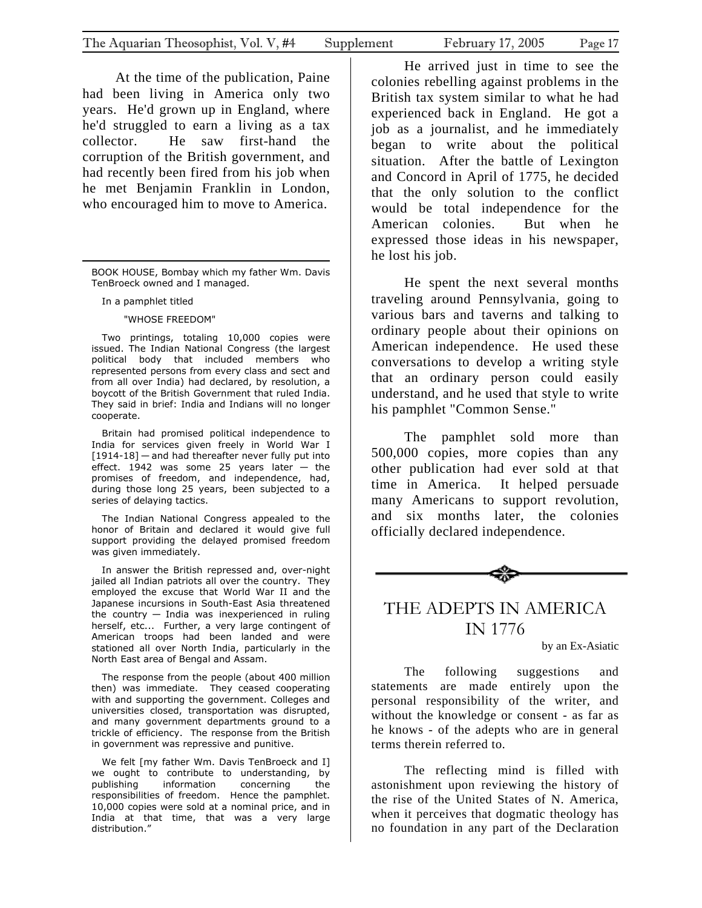At the time of the publ[ic](#page-16-0)ation, Paine had been living in America only two years. He'd grown up in England, where he'd struggled to earn a living as a tax collector. He saw first-hand the corruption of the British government, and had recently been fired from his job when he met Benjamin Franklin in London, who encouraged him to move to America.

In a pamphlet titled

<span id="page-16-0"></span> $\overline{a}$ 

"WHOSE FREEDOM"

 Two printings, totaling 10,000 copies were issued. The Indian National Congress (the largest political body that included members who represented persons from every class and sect and from all over India) had declared, by resolution, a boycott of the British Government that ruled India. They said in brief: India and Indians will no longer cooperate.

 Britain had promised political independence to India for services given freely in World War I [1914-18] — and had thereafter never fully put into effect. 1942 was some 25 years later — the promises of freedom, and independence, had, during those long 25 years, been subjected to a series of delaying tactics.

 The Indian National Congress appealed to the honor of Britain and declared it would give full support providing the delayed promised freedom was given immediately.

 In answer the British repressed and, over-night jailed all Indian patriots all over the country. They employed the excuse that World War II and the Japanese incursions in South-East Asia threatened the country  $-$  India was inexperienced in ruling herself, etc... Further, a very large contingent of American troops had been landed and were stationed all over North India, particularly in the North East area of Bengal and Assam.

 The response from the people (about 400 million then) was immediate. They ceased cooperating with and supporting the government. Colleges and universities closed, transportation was disrupted, and many government departments ground to a trickle of efficiency. The response from the British in government was repressive and punitive.

We felt [my father Wm. Davis TenBroeck and I] we ought to contribute to understanding, by publishing information concerning responsibilities of freedom. Hence the pamphlet. 10,000 copies were sold at a nominal price, and in India at that time, that was a very large distribution."

He arrived just in time to see the colonies rebelling against problems in the British tax system similar to what he had experienced back in England. He got a job as a journalist, and he immediately began to write about the political situation. After the battle of Lexington and Concord in April of 1775, he decided that the only solution to the conflict would be total independence for the American colonies. But when he expressed those ideas in his newspaper, he lost his job.

He spent the next several months traveling around Pennsylvania, going to various bars and taverns and talking to ordinary people about their opinions on American independence. He used these conversations to develop a writing style that an ordinary person could easily understand, and he used that style to write his pamphlet "Common Sense."

The pamphlet sold more than 500,000 copies, more copies than any other publication had ever sold at that time in America. It helped persuade many Americans to support revolution, and six months later, the colonies officially declared independence.



# THE ADEPTS IN AMERICA IN 1776

by an Ex-Asiatic

The following suggestions and statements are made entirely upon the personal responsibility of the writer, and without the knowledge or consent - as far as he knows - of the adepts who are in general terms therein referred to.

The reflecting mind is filled with astonishment upon reviewing the history of the rise of the United States of N. America, when it perceives that dogmatic theology has no foundation in any part of the Declaration

BOOK HOUSE, Bombay which my father Wm. Davis TenBroeck owned and I managed.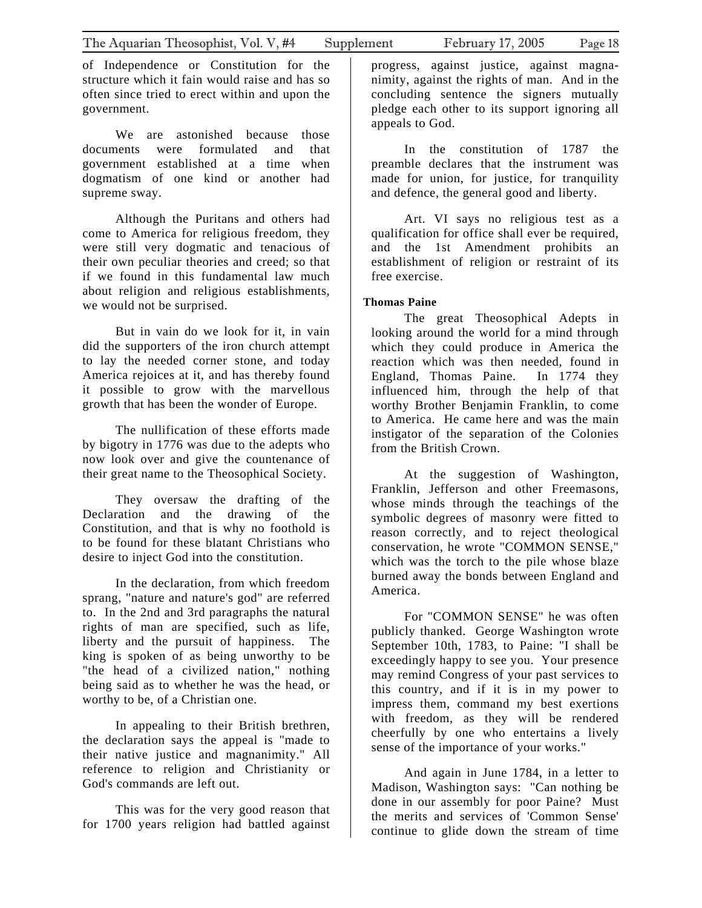of Independence or Constitution for the structure which it fain would raise and has so often since tried to erect within and upon the government.

We are astonished because those documents were formulated and that government established at a time when dogmatism of one kind or another had supreme sway.

Although the Puritans and others had come to America for religious freedom, they were still very dogmatic and tenacious of their own peculiar theories and creed; so that if we found in this fundamental law much about religion and religious establishments, we would not be surprised.

But in vain do we look for it, in vain did the supporters of the iron church attempt to lay the needed corner stone, and today America rejoices at it, and has thereby found it possible to grow with the marvellous growth that has been the wonder of Europe.

The nullification of these efforts made by bigotry in 1776 was due to the adepts who now look over and give the countenance of their great name to the Theosophical Society.

They oversaw the drafting of the Declaration and the drawing of the Constitution, and that is why no foothold is to be found for these blatant Christians who desire to inject God into the constitution.

In the declaration, from which freedom sprang, "nature and nature's god" are referred to. In the 2nd and 3rd paragraphs the natural rights of man are specified, such as life, liberty and the pursuit of happiness. The king is spoken of as being unworthy to be "the head of a civilized nation," nothing being said as to whether he was the head, or worthy to be, of a Christian one.

In appealing to their British brethren, the declaration says the appeal is "made to their native justice and magnanimity." All reference to religion and Christianity or God's commands are left out.

This was for the very good reason that for 1700 years religion had battled against

progress, against justice, against magnanimity, against the rights of man. And in the concluding sentence the signers mutually pledge each other to its support ignoring all appeals to God.

In the constitution of 1787 the preamble declares that the instrument was made for union, for justice, for tranquility and defence, the general good and liberty.

Art. VI says no religious test as a qualification for office shall ever be required, and the 1st Amendment prohibits an establishment of religion or restraint of its free exercise.

#### **Thomas Paine**

The great Theosophical Adepts in looking around the world for a mind through which they could produce in America the reaction which was then needed, found in England, Thomas Paine. In 1774 they influenced him, through the help of that worthy Brother Benjamin Franklin, to come to America. He came here and was the main instigator of the separation of the Colonies from the British Crown.

At the suggestion of Washington, Franklin, Jefferson and other Freemasons, whose minds through the teachings of the symbolic degrees of masonry were fitted to reason correctly, and to reject theological conservation, he wrote "COMMON SENSE," which was the torch to the pile whose blaze burned away the bonds between England and America.

For "COMMON SENSE" he was often publicly thanked. George Washington wrote September 10th, 1783, to Paine: "I shall be exceedingly happy to see you. Your presence may remind Congress of your past services to this country, and if it is in my power to impress them, command my best exertions with freedom, as they will be rendered cheerfully by one who entertains a lively sense of the importance of your works."

And again in June 1784, in a letter to Madison, Washington says: "Can nothing be done in our assembly for poor Paine? Must the merits and services of 'Common Sense' continue to glide down the stream of time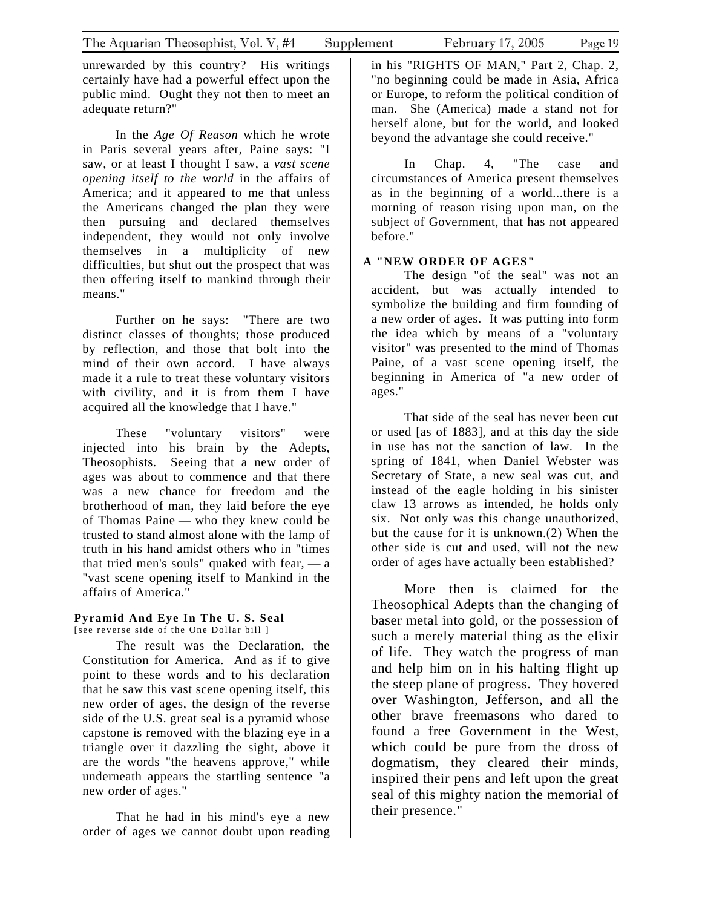unrewarded by this country? His writings certainly have had a powerful effect upon the public mind. Ought they not then to meet an adequate return?"

In the *Age Of Reason* which he wrote in Paris several years after, Paine says: "I saw, or at least I thought I saw, a *vast scene opening itself to the world* in the affairs of America; and it appeared to me that unless the Americans changed the plan they were then pursuing and declared themselves independent, they would not only involve themselves in a multiplicity of new difficulties, but shut out the prospect that was then offering itself to mankind through their means."

Further on he says: "There are two distinct classes of thoughts; those produced by reflection, and those that bolt into the mind of their own accord. I have always made it a rule to treat these voluntary visitors with civility, and it is from them I have acquired all the knowledge that I have."

These "voluntary visitors" were injected into his brain by the Adepts, Theosophists. Seeing that a new order of ages was about to commence and that there was a new chance for freedom and the brotherhood of man, they laid before the eye of Thomas Paine — who they knew could be trusted to stand almost alone with the lamp of truth in his hand amidst others who in "times that tried men's souls" quaked with fear,  $\frac{a}{b}$  a "vast scene opening itself to Mankind in the affairs of America."

#### **Pyramid And Eye In The U. S. Seal**

[see reverse side of the One Dollar bill ]

The result was the Declaration, the Constitution for America. And as if to give point to these words and to his declaration that he saw this vast scene opening itself, this new order of ages, the design of the reverse side of the U.S. great seal is a pyramid whose capstone is removed with the blazing eye in a triangle over it dazzling the sight, above it are the words "the heavens approve," while underneath appears the startling sentence "a new order of ages."

That he had in his mind's eye a new order of ages we cannot doubt upon reading

in his "RIGHTS OF MAN," Part 2, Chap. 2, "no beginning could be made in Asia, Africa or Europe, to reform the political condition of man. She (America) made a stand not for herself alone, but for the world, and looked beyond the advantage she could receive."

In Chap. 4, "The case and circumstances of America present themselves as in the beginning of a world...there is a morning of reason rising upon man, on the subject of Government, that has not appeared before."

#### **A "NEW ORDER OF AGES"**

The design "of the seal" was not an accident, but was actually intended to symbolize the building and firm founding of a new order of ages. It was putting into form the idea which by means of a "voluntary visitor" was presented to the mind of Thomas Paine, of a vast scene opening itself, the beginning in America of "a new order of ages."

That side of the seal has never been cut or used [as of 1883], and at this day the side in use has not the sanction of law. In the spring of 1841, when Daniel Webster was Secretary of State, a new seal was cut, and instead of the eagle holding in his sinister claw 13 arrows as intended, he holds only six. Not only was this change unauthorized, but the cause for it is unknown.(2) When the other side is cut and used, will not the new order of ages have actually been established?

More then is claimed for the Theosophical Adepts than the changing of baser metal into gold, or the possession of such a merely material thing as the elixir of life. They watch the progress of man and help him on in his halting flight up the steep plane of progress. They hovered over Washington, Jefferson, and all the other brave freemasons who dared to found a free Government in the West, which could be pure from the dross of dogmatism, they cleared their minds, inspired their pens and left upon the great seal of this mighty nation the memorial of their presence."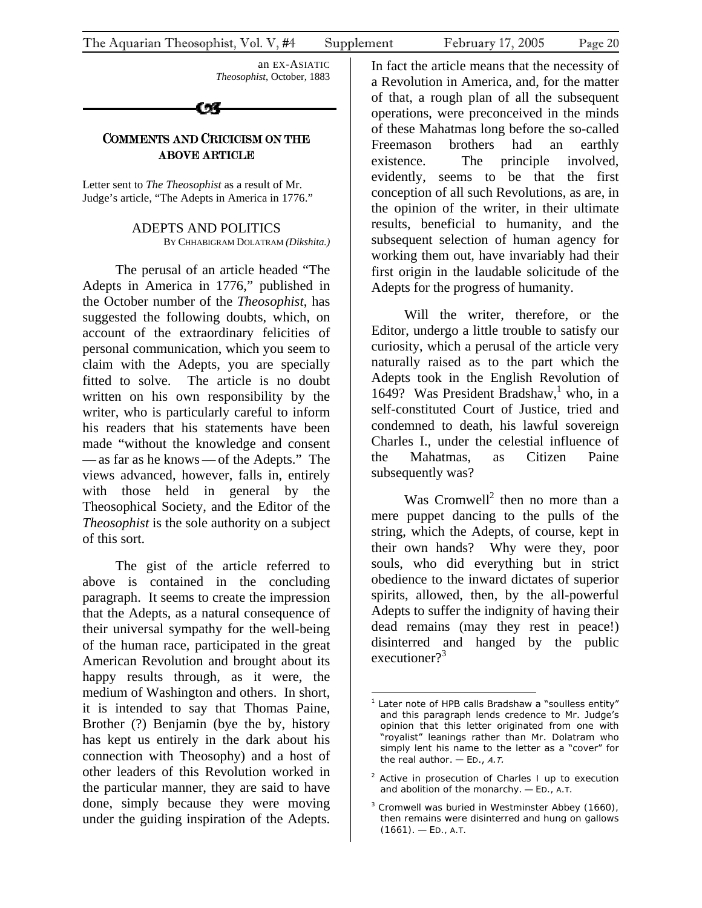an EX-ASIATIC *Theosophist*, October, 1883

CX

# COMMENTS AND CRICICISM ON THE ABOVE ARTICLE

Letter sent to *The Theosophist* as a result of Mr. Judge's article, "The Adepts in America in 1776."

> ADEPTS AND POLITICS BY CHHABIGRAM DOLATRAM *(Dikshita.)*

The perusal of an article headed "The Adepts in America in 1776," published in the October number of the *Theosophist*, has suggested the following doubts, which, on account of the extraordinary felicities of personal communication, which you seem to claim with the Adepts, you are specially fitted to solve. The article is no doubt written on his own responsibility by the writer, who is particularly careful to inform his readers that his statements have been made "without the knowledge and consent — as far as he knows— of the Adepts." The views advanced, however, falls in, entirely with those held in general by the Theosophical Society, and the Editor of the *Theosophist* is the sole authority on a subject of this sort.

The gist of the article referred to above is contained in the concluding paragraph. It seems to create the impression that the Adepts, as a natural consequence of their universal sympathy for the well-being of the human race, participated in the great American Revolution and brought about its happy results through, as it were, the medium of Washington and others. In short, it is intended to say that Thomas Paine, Brother (?) Benjamin (bye the by, history has kept us entirely in the dark about his connection with Theosophy) and a host of other leaders of this Revolution worked in the particular manner, they are said to have done, simply because they were moving under the guiding inspiration of the Adepts.

In fact the article means that the necessity of a Revolution in America, and, for the matter of that, a rough plan of all the subsequent operations, were preconceived in the minds of these Mahatmas long before the so-called Freemason brothers had an earthly existence. The principle involved, evidently, seems to be that the first conception of all such Revolutions, as are, in the opinion of the writer, in their ultimate results, beneficial to humanity, and the subsequent selection of human agency for working them out, have invariably had their first origin in the laudable solicitude of the Adepts for the progress of humanity.

Will the writer, therefore, or the Editor, undergo a little trouble to satisfy our curiosity, which a perusal of the article very naturally raised as to the part which the Adepts took in the English Revolution of 1649? Was President Bradshaw,<sup>1</sup> who, in a self-constituted Court of Justice, tried and condemned to death, his lawful sovereign Charles I., under the celestial i[nf](#page-19-0)luence of the Mahatmas, as Citizen Paine subsequently was?

Was Cromwell<sup>2</sup> then no more than a mere puppet dancing to the pulls of the string, which the Adepts, of course, kept in their own hands? [W](#page-19-1)hy were they, poor souls, who did everything but in strict obedience to the inward dictates of superior spirits, allowed, then, by the all-powerful Adepts to suffer the indignity of having their dead remains (may they rest in peace!) disinterred and hanged by the public executioner? $3^3$ 

<sup>&</sup>lt;u>.</u> <sup>1</sup> Later note of HPB calls Bradshaw a "soulless entity" and this paragraph lends credence to Mr. Judge's opinion that this letter originated from one with "royalist" leanings rather than Mr. Dolatram who simply lent his name to the letter as a "cover" for the real author.  $-$  ED., A.T.

<span id="page-19-0"></span><sup>&</sup>lt;sup>2</sup> Active in prosecution of Charles I up to execution and abolition of the monarchy. — ED., *A.T.*

<span id="page-19-1"></span><sup>&</sup>lt;sup>3</sup> Cromwell was buried in Westminster Abbey (1660), then remains were disinterred and hung on gallows (1661). — ED., *A.T.*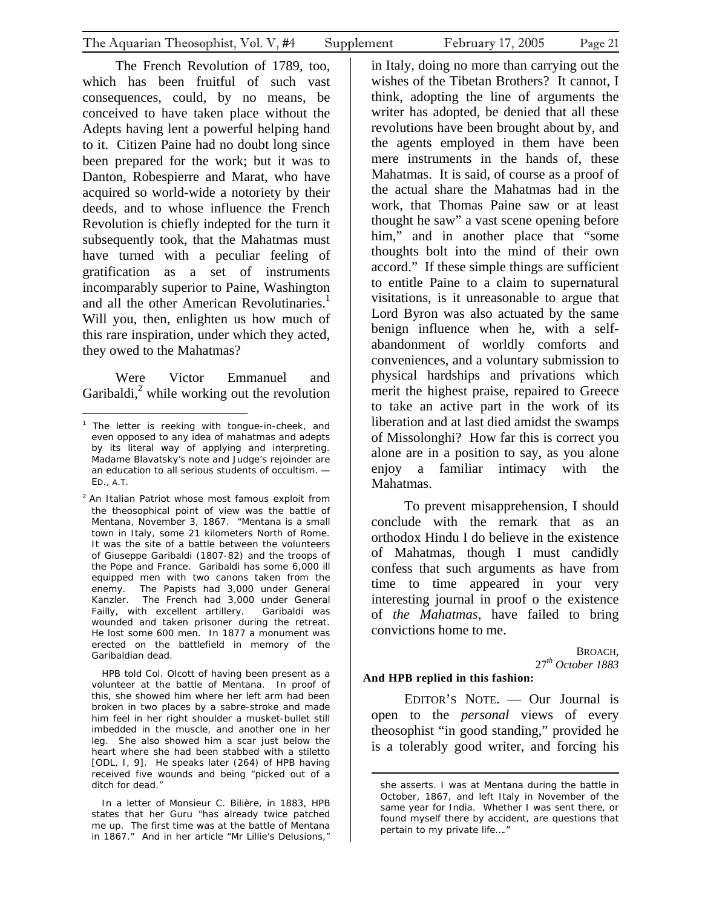The French Revolution of 1789, too, which has [b](#page-20-0)een fruitful of such vast consequences, could, by no means, be conceived to have taken place without the Adepts having lent a powerful helping hand to it. Citizen Paine had no doubt long since been prepared for the work; but it was to Danton, Robespierre and Marat, who have acquired so world-wide a notoriety by their deeds, and to whose influence the French Revolution is chiefly indepted for the turn it subsequently took, that the Mahatmas must have turned with a peculiar feeling of gratification as a set of instruments incomparably superior to Paine, Washington and all the other American Revolutinaries.<sup>1</sup> Will you, then, enlighten us how much of this rare inspiration, under which they acte[d,](#page-20-1)  they owed to the Mahatmas?

Were Victor Emmanuel and Garibaldi, $^{2}$  while working out the revolution

 HPB told Col. Olcott of having been present as a volunteer at the battle of Mentana. In proof of this, she showed him where her left arm had been broken in two places by a sabre-stroke and made him feel in her right shoulder a musket-bullet still imbedded in the muscle, and another one in her leg. She also showed him a scar just below the heart where she had been stabbed with a stiletto [ODL, I, 9]. He speaks later (264) of HPB having received five wounds and being "picked out of a ditch for dead."

 In a letter of Monsieur C. Bilière, in 1883, HPB states that her Guru "has already twice patched me up. The first time was at the battle of Mentana in 1867." And in her article "Mr Lillie's Delusions,"

in Italy, doing no more than carrying out the wishes of the Tibetan Brothers? It cannot, I think, adopting the line of arguments the writer has adopted, be denied that all these revolutions have been brought about by, and the agents employed in them have been mere instruments in the hands of, these Mahatmas. It is said, of course as a proof of the actual share the Mahatmas had in the work, that Thomas Paine saw or at least thought he saw" a vast scene opening before him," and in another place that "some thoughts bolt into the mind of their own accord." If these simple things are sufficient to entitle Paine to a claim to supernatural visitations, is it unreasonable to argue that Lord Byron was also actuated by the same benign influence when he, with a selfabandonment of worldly comforts and conveniences, and a voluntary submission to physical hardships and privations which merit the highest praise, repaired to Greece to take an active part in the work of its liberation and at last died amidst the swamps of Missolonghi? How far this is correct you alone are in a position to say, as you alone enjoy a familiar intimacy with the Mahatmas.

To prevent misapprehension, I should conclude with the remark that as an orthodox Hindu I do believe in the existence of Mahatmas, though I must candidly confess that such arguments as have from time to time appeared in your very interesting journal in proof o the existence of *the Mahatmas*, have failed to bring convictions home to me.

> BROACH, 27*th October 1883*

#### **And HPB replied in this fashion:**

 $\overline{a}$ 

EDITOR'S NOTE. — Our Journal is open to the *personal* views of every theosophist "in good standing," provided he is a tolerably good writer, and forcing his

 $\overline{a}$ <sup>1</sup> The letter is reeking with tongue-in-cheek, and even opp[ose](#page-20-2)d to any idea of mahatmas and adepts by its *literal way of applying and interpreting.* Madame Blavatsky's note and Judge's rejoinder are an education to all serious students of occultism. — ED., *A.T.*

<span id="page-20-2"></span><span id="page-20-1"></span><span id="page-20-0"></span><sup>&</sup>lt;sup>2</sup> An Italian Patriot whose most famous exploit from the theosophical point of view was the battle of Mentana, November 3, 1867. "Mentana is a small town in Italy, some 21 kilometers North of Rome. It was the site of a battle between the volunteers of Giuseppe Garibaldi (1807-82) and the troops of the Pope and France. Garibaldi has some 6,000 ill equipped men with two canons taken from the enemy. The Papists had 3,000 under General Kanzler. The French had 3,000 under General Failly, with excellent artillery. Garibaldi was wounded and taken prisoner during the retreat. He lost some 600 men. In 1877 a monument was erected on the battlefield in memory of the Garibaldian dead.

she asserts. I was at Mentana during the battle in October, 1867, and left Italy in November of the same year for India. Whether I was sent there, or found myself there by accident, are questions that pertain to my private life…."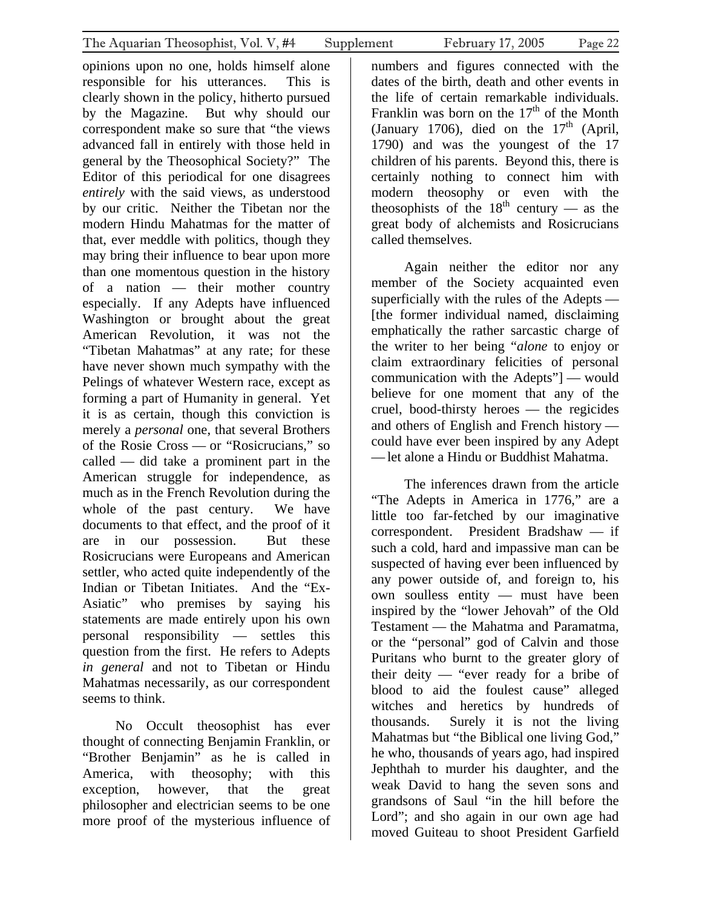opinions upon no one, holds himself alone responsible for his utterances. This is clearly shown in the policy, hitherto pursued by the Magazine. But why should our correspondent make so sure that "the views advanced fall in entirely with those held in general by the Theosophical Society?" The Editor of this periodical for one disagrees *entirely* with the said views, as understood by our critic. Neither the Tibetan nor the modern Hindu Mahatmas for the matter of that, ever meddle with politics, though they may bring their influence to bear upon more than one momentous question in the history of a nation — their mother country especially. If any Adepts have influenced Washington or brought about the great American Revolution, it was not the "Tibetan Mahatmas" at any rate; for these have never shown much sympathy with the Pelings of whatever Western race, except as forming a part of Humanity in general. Yet it is as certain, though this conviction is merely a *personal* one, that several Brothers of the Rosie Cross — or "Rosicrucians," so called — did take a prominent part in the American struggle for independence, as much as in the French Revolution during the whole of the past century. We have documents to that effect, and the proof of it are in our possession. But these Rosicrucians were Europeans and American settler, who acted quite independently of the Indian or Tibetan Initiates. And the "Ex-Asiatic" who premises by saying his statements are made entirely upon his own personal responsibility — settles this question from the first. He refers to Adepts *in general* and not to Tibetan or Hindu Mahatmas necessarily, as our correspondent seems to think.

No Occult theosophist has ever thought of connecting Benjamin Franklin, or "Brother Benjamin" as he is called in America, with theosophy; with this exception, however, that the great philosopher and electrician seems to be one more proof of the mysterious influence of

numbers and figures connected with the dates of the birth, death and other events in the life of certain remarkable individuals. Franklin was born on the  $17<sup>th</sup>$  of the Month (January 1706), died on the  $17<sup>th</sup>$  (April, 1790) and was the youngest of the 17 children of his parents. Beyond this, there is certainly nothing to connect him with modern theosophy or even with the theosophists of the  $18<sup>th</sup>$  century — as the great body of alchemists and Rosicrucians called themselves.

Again neither the editor nor any member of the Society acquainted even superficially with the rules of the Adepts — [the former individual named, disclaiming emphatically the rather sarcastic charge of the writer to her being "*alone* to enjoy or claim extraordinary felicities of personal communication with the Adepts"] — would believe for one moment that any of the cruel, bood-thirsty heroes — the regicides and others of English and French history could have ever been inspired by any Adept —let alone a Hindu or Buddhist Mahatma.

The inferences drawn from the article "The Adepts in America in 1776," are a little too far-fetched by our imaginative correspondent. President Bradshaw — if such a cold, hard and impassive man can be suspected of having ever been influenced by any power outside of, and foreign to, his own soulless entity — must have been inspired by the "lower Jehovah" of the Old Testament — the Mahatma and Paramatma, or the "personal" god of Calvin and those Puritans who burnt to the greater glory of their deity — "ever ready for a bribe of blood to aid the foulest cause" alleged witches and heretics by hundreds of thousands. Surely it is not the living Mahatmas but "the Biblical one living God," he who, thousands of years ago, had inspired Jephthah to murder his daughter, and the weak David to hang the seven sons and grandsons of Saul "in the hill before the Lord"; and sho again in our own age had moved Guiteau to shoot President Garfield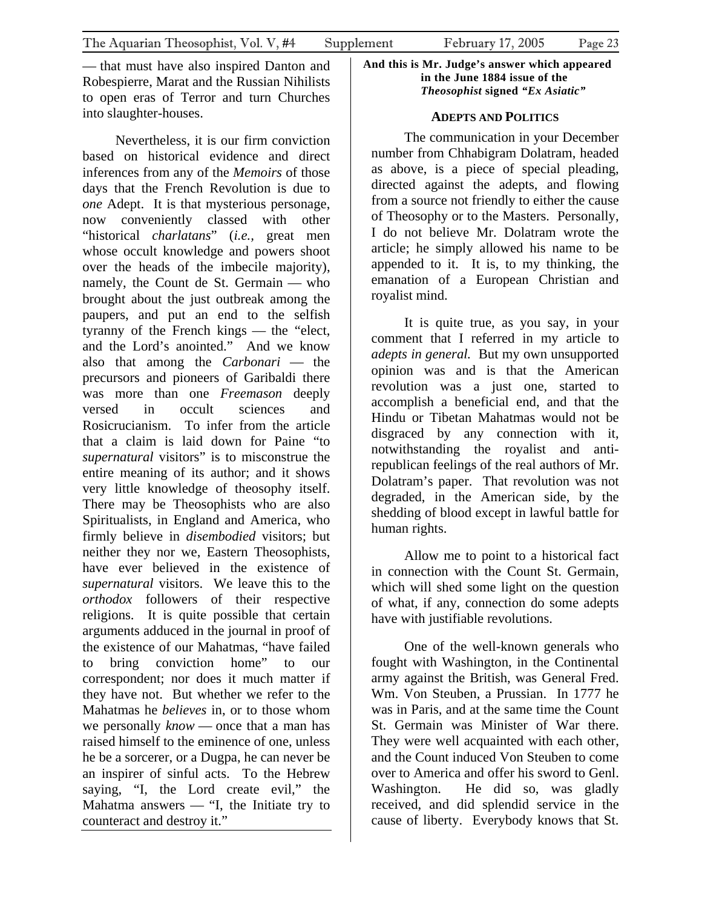— that must have also inspired Danton and Robespierre, Marat and the Russian Nihilists to open eras of Terror and turn Churches into slaughter-houses.

Nevertheless, it is our firm conviction based on historical evidence and direct inferences from any of the *Memoirs* of those days that the French Revolution is due to *one* Adept. It is that mysterious personage, now conveniently classed with other "historical *charlatans*" (*i.e.,* great men whose occult knowledge and powers shoot over the heads of the imbecile majority), namely, the Count de St. Germain — who brought about the just outbreak among the paupers, and put an end to the selfish tyranny of the French kings — the "elect, and the Lord's anointed." And we know also that among the *Carbonari* — the precursors and pioneers of Garibaldi there was more than one *Freemason* deeply versed in occult sciences and Rosicrucianism. To infer from the article that a claim is laid down for Paine "to *supernatural* visitors" is to misconstrue the entire meaning of its author; and it shows very little knowledge of theosophy itself. There may be Theosophists who are also Spiritualists, in England and America, who firmly believe in *disembodied* visitors; but neither they nor we, Eastern Theosophists, have ever believed in the existence of *supernatural* visitors. We leave this to the *orthodox* followers of their respective religions. It is quite possible that certain arguments adduced in the journal in proof of the existence of our Mahatmas, "have failed to bring conviction home" to our correspondent; nor does it much matter if they have not. But whether we refer to the Mahatmas he *believes* in, or to those whom we personally *know* — once that a man has raised himself to the eminence of one, unless he be a sorcerer, or a Dugpa, he can never be an inspirer of sinful acts. To the Hebrew saying, "I, the Lord create evil," the Mahatma answers  $-$  "I, the Initiate try to counteract and destroy it."

#### **And this is Mr. Judge's answer which appeared in the June 1884 issue of the**  *Theosophist* **signed** *"Ex Asiatic"*

# **ADEPTS AND POLITICS**

The communication in your December number from Chhabigram Dolatram, headed as above, is a piece of special pleading, directed against the adepts, and flowing from a source not friendly to either the cause of Theosophy or to the Masters. Personally, I do not believe Mr. Dolatram wrote the article; he simply allowed his name to be appended to it. It is, to my thinking, the emanation of a European Christian and royalist mind.

It is quite true, as you say, in your comment that I referred in my article to *adepts in general.* But my own unsupported opinion was and is that the American revolution was a just one, started to accomplish a beneficial end, and that the Hindu or Tibetan Mahatmas would not be disgraced by any connection with it, notwithstanding the royalist and antirepublican feelings of the real authors of Mr. Dolatram's paper. That revolution was not degraded, in the American side, by the shedding of blood except in lawful battle for human rights.

Allow me to point to a historical fact in connection with the Count St. Germain, which will shed some light on the question of what, if any, connection do some adepts have with justifiable revolutions.

One of the well-known generals who fought with Washington, in the Continental army against the British, was General Fred. Wm. Von Steuben, a Prussian. In 1777 he was in Paris, and at the same time the Count St. Germain was Minister of War there. They were well acquainted with each other, and the Count induced Von Steuben to come over to America and offer his sword to Genl. Washington. He did so, was gladly received, and did splendid service in the cause of liberty. Everybody knows that St.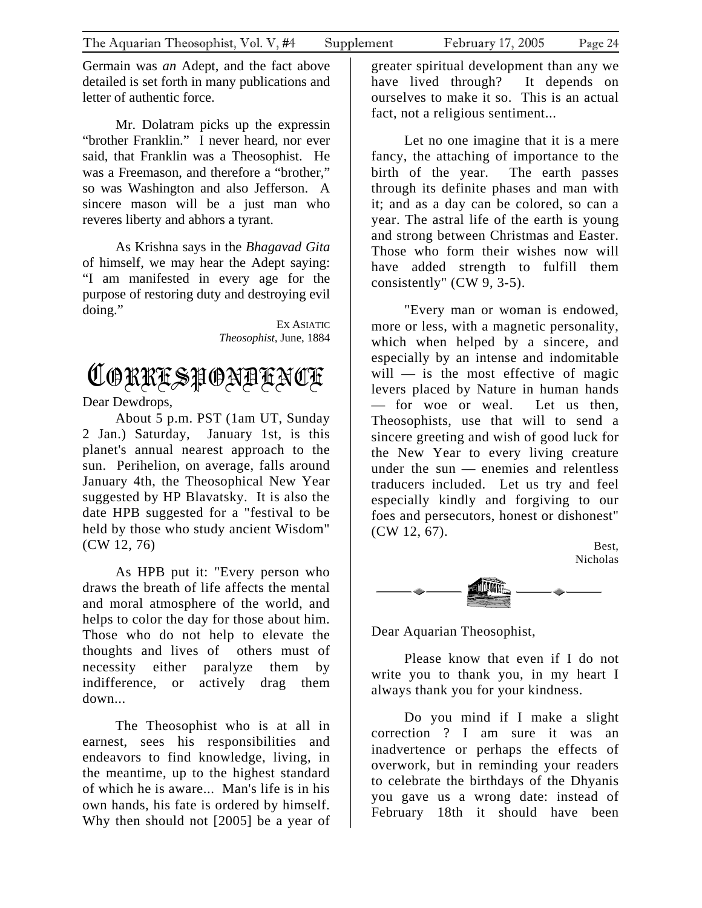<span id="page-23-0"></span>Germain was *an* Adept, and the fact above detailed is set forth in many publications and letter of authentic force.

Mr. Dolatram picks up the expressin "brother Franklin." I never heard, nor ever said, that Franklin was a Theosophist. He was a Freemason, and therefore a "brother," so was Washington and also Jefferson. A sincere mason will be a just man who reveres liberty and abhors a tyrant.

As Krishna says in the *Bhagavad Gita* of himself, we may hear the Adept saying: "I am manifested in every age for the purpose of restoring duty and destroying evil doing."

> EX ASIATIC *Theosophist,* June, 1884

# CORRESPONDENCE

Dear Dewdrops,

About 5 p.m. PST (1am UT, Sunday 2 Jan.) Saturday, January 1st, is this planet's annual nearest approach to the sun. Perihelion, on average, falls around January 4th, the Theosophical New Year suggested by HP Blavatsky. It is also the date HPB suggested for a "festival to be held by those who study ancient Wisdom" (CW 12, 76)

As HPB put it: "Every person who draws the breath of life affects the mental and moral atmosphere of the world, and helps to color the day for those about him. Those who do not help to elevate the thoughts and lives of others must of necessity either paralyze them by indifference, or actively drag them down...

The Theosophist who is at all in earnest, sees his responsibilities and endeavors to find knowledge, living, in the meantime, up to the highest standard of which he is aware... Man's life is in his own hands, his fate is ordered by himself. Why then should not [2005] be a year of greater spiritual development than any we have lived through? It depends on ourselves to make it so. This is an actual fact, not a religious sentiment...

Let no one imagine that it is a mere fancy, the attaching of importance to the birth of the year. The earth passes through its definite phases and man with it; and as a day can be colored, so can a year. The astral life of the earth is young and strong between Christmas and Easter. Those who form their wishes now will have added strength to fulfill them consistently" (CW 9, 3-5).

"Every man or woman is endowed, more or less, with a magnetic personality, which when helped by a sincere, and especially by an intense and indomitable will  $-$  is the most effective of magic levers placed by Nature in human hands — for woe or weal. Let us then, Theosophists, use that will to send a sincere greeting and wish of good luck for the New Year to every living creature under the sun — enemies and relentless traducers included. Let us try and feel especially kindly and forgiving to our foes and persecutors, honest or dishonest" (CW 12, 67).





Dear Aquarian Theosophist,

Please know that even if I do not write you to thank you, in my heart I always thank you for your kindness.

Do you mind if I make a slight correction ? I am sure it was an inadvertence or perhaps the effects of overwork, but in reminding your readers to celebrate the birthdays of the Dhyanis you gave us a wrong date: instead of February 18th it should have been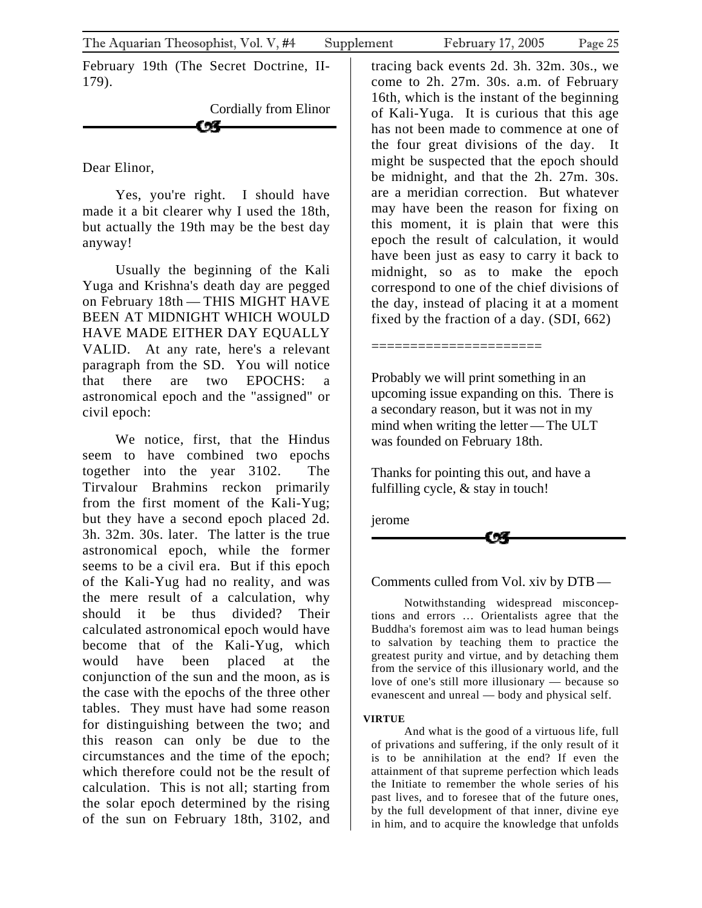February 19th (The Secret Doctrine, II-179).

> Cordially from Elinor CA-

Dear Elinor,

Yes, you're right. I should have made it a bit clearer why I used the 18th, but actually the 19th may be the best day anyway!

Usually the beginning of the Kali Yuga and Krishna's death day are pegged on February 18th — THIS MIGHT HAVE BEEN AT MIDNIGHT WHICH WOULD HAVE MADE EITHER DAY EQUALLY VALID. At any rate, here's a relevant paragraph from the SD. You will notice that there are two EPOCHS: a astronomical epoch and the "assigned" or civil epoch:

We notice, first, that the Hindus seem to have combined two epochs together into the year 3102. The Tirvalour Brahmins reckon primarily from the first moment of the Kali-Yug; but they have a second epoch placed 2d. 3h. 32m. 30s. later. The latter is the true astronomical epoch, while the former seems to be a civil era. But if this epoch of the Kali-Yug had no reality, and was the mere result of a calculation, why should it be thus divided? Their calculated astronomical epoch would have become that of the Kali-Yug, which would have been placed at the conjunction of the sun and the moon, as is the case with the epochs of the three other tables. They must have had some reason for distinguishing between the two; and this reason can only be due to the circumstances and the time of the epoch; which therefore could not be the result of calculation. This is not all; starting from the solar epoch determined by the rising of the sun on February 18th, 3102, and

tracing back events 2d. 3h. 32m. 30s., we come to 2h. 27m. 30s. a.m. of February 16th, which is the instant of the beginning of Kali-Yuga. It is curious that this age has not been made to commence at one of the four great divisions of the day. It might be suspected that the epoch should be midnight, and that the 2h. 27m. 30s. are a meridian correction. But whatever may have been the reason for fixing on this moment, it is plain that were this epoch the result of calculation, it would have been just as easy to carry it back to midnight, so as to make the epoch correspond to one of the chief divisions of the day, instead of placing it at a moment fixed by the fraction of a day. (SDI, 662)

Probably we will print something in an upcoming issue expanding on this. There is a secondary reason, but it was not in my mind when writing the letter—The ULT was founded on February 18th.

=============================

Thanks for pointing this out, and have a fulfilling cycle, & stay in touch!

jerome

# Comments culled from Vol. xiv by DTB—

Notwithstanding widespread misconceptions and errors … Orientalists agree that the Buddha's foremost aim was to lead human beings to salvation by teaching them to practice the greatest purity and virtue, and by detaching them from the service of this illusionary world, and the love of one's still more illusionary — because so evanescent and unreal — body and physical self.

#### **VIRTUE**

And what is the good of a virtuous life, full of privations and suffering, if the only result of it is to be annihilation at the end? If even the attainment of that supreme perfection which leads the Initiate to remember the whole series of his past lives, and to foresee that of the future ones, by the full development of that inner, divine eye in him, and to acquire the knowledge that unfolds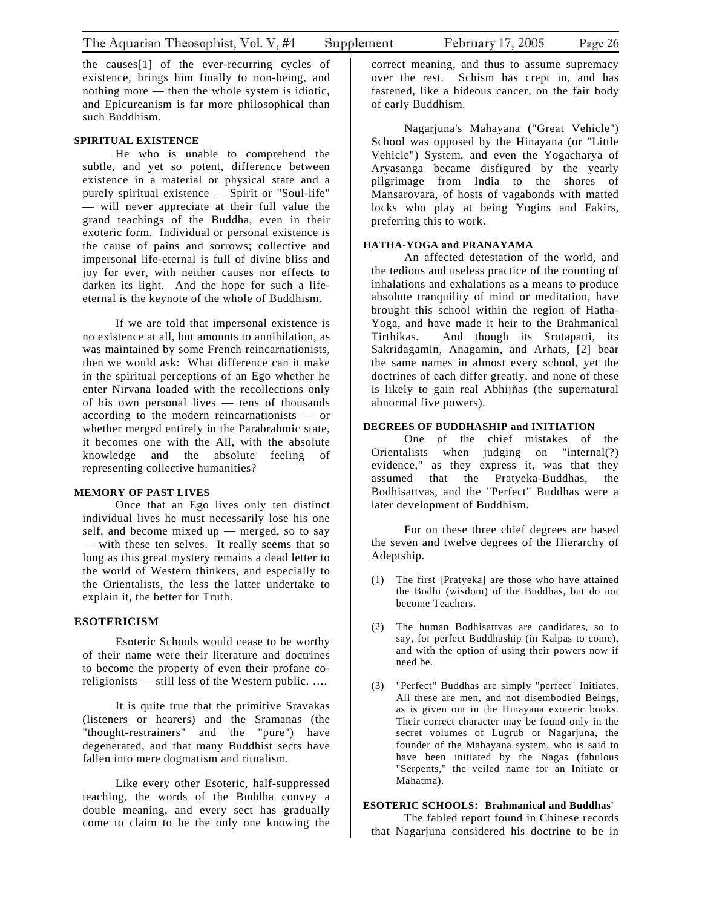The Aquarian Theosophist, Vol. V, #4 Supplement February 17, 2005 Page 26

the causes[1] of the ever-recurring cycles of existence, brings him finally to non-being, and nothing more — then the whole system is idiotic, and Epicureanism is far more philosophical than such Buddhism.

#### **SPIRITUAL EXISTENCE**

He who is unable to comprehend the subtle, and yet so potent, difference between existence in a material or physical state and a purely spiritual existence — Spirit or "Soul-life" — will never appreciate at their full value the grand teachings of the Buddha, even in their exoteric form. Individual or personal existence is the cause of pains and sorrows; collective and impersonal life-eternal is full of divine bliss and joy for ever, with neither causes nor effects to darken its light. And the hope for such a lifeeternal is the keynote of the whole of Buddhism.

If we are told that impersonal existence is no existence at all, but amounts to annihilation, as was maintained by some French reincarnationists, then we would ask: What difference can it make in the spiritual perceptions of an Ego whether he enter Nirvana loaded with the recollections only of his own personal lives — tens of thousands according to the modern reincarnationists — or whether merged entirely in the Parabrahmic state, it becomes one with the All, with the absolute knowledge and the absolute feeling of representing collective humanities?

#### **MEMORY OF PAST LIVES**

Once that an Ego lives only ten distinct individual lives he must necessarily lose his one self, and become mixed up — merged, so to say — with these ten selves. It really seems that so long as this great mystery remains a dead letter to the world of Western thinkers, and especially to the Orientalists, the less the latter undertake to explain it, the better for Truth.

#### **ESOTERICISM**

Esoteric Schools would cease to be worthy of their name were their literature and doctrines to become the property of even their profane coreligionists — still less of the Western public. ….

It is quite true that the primitive Sravakas (listeners or hearers) and the Sramanas (the "thought-restrainers" and the "pure") have degenerated, and that many Buddhist sects have fallen into mere dogmatism and ritualism.

Like every other Esoteric, half-suppressed teaching, the words of the Buddha convey a double meaning, and every sect has gradually come to claim to be the only one knowing the correct meaning, and thus to assume supremacy over the rest. Schism has crept in, and has fastened, like a hideous cancer, on the fair body of early Buddhism.

Nagarjuna's Mahayana ("Great Vehicle") School was opposed by the Hinayana (or "Little Vehicle") System, and even the Yogacharya of Aryasanga became disfigured by the yearly pilgrimage from India to the shores of Mansarovara, of hosts of vagabonds with matted locks who play at being Yogins and Fakirs, preferring this to work.

#### **HATHA-YOGA and PRANAYAMA**

An affected detestation of the world, and the tedious and useless practice of the counting of inhalations and exhalations as a means to produce absolute tranquility of mind or meditation, have brought this school within the region of Hatha-Yoga, and have made it heir to the Brahmanical Tirthikas. And though its Srotapatti, its Sakridagamin, Anagamin, and Arhats, [2] bear the same names in almost every school, yet the doctrines of each differ greatly, and none of these is likely to gain real Abhijñas (the supernatural abnormal five powers).

#### **DEGREES OF BUDDHASHIP and INITIATION**

One of the chief mistakes of the Orientalists when judging on "internal(?) evidence," as they express it, was that they assumed that the Pratyeka-Buddhas, the Bodhisattvas, and the "Perfect" Buddhas were a later development of Buddhism.

For on these three chief degrees are based the seven and twelve degrees of the Hierarchy of Adeptship.

- (1) The first [Pratyeka] are those who have attained the Bodhi (wisdom) of the Buddhas, but do not become Teachers.
- (2) The human Bodhisattvas are candidates, so to say, for perfect Buddhaship (in Kalpas to come), and with the option of using their powers now if need be.
- (3) "Perfect" Buddhas are simply "perfect" Initiates. All these are men, and not disembodied Beings, as is given out in the Hinayana exoteric books. Their correct character may be found only in the secret volumes of Lugrub or Nagarjuna, the founder of the Mahayana system, who is said to have been initiated by the Nagas (fabulous "Serpents," the veiled name for an Initiate or Mahatma).

#### **ESOTERIC SCHOOLS: Brahmanical and Buddhas'**

The fabled report found in Chinese records that Nagarjuna considered his doctrine to be in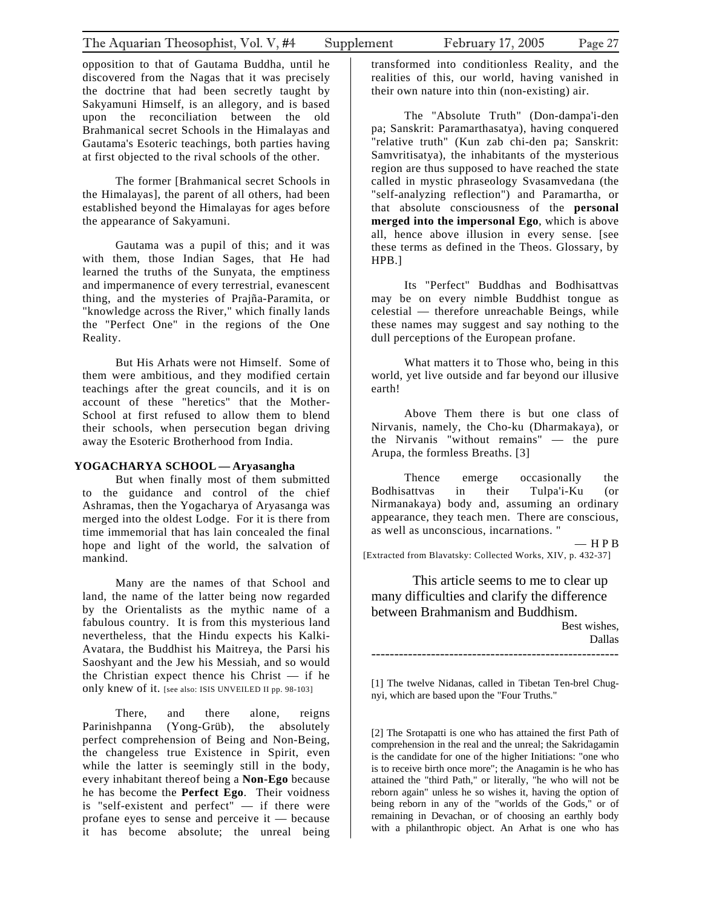opposition to that of Gautama Buddha, until he discovered from the Nagas that it was precisely the doctrine that had been secretly taught by Sakyamuni Himself, is an allegory, and is based upon the reconciliation between the old Brahmanical secret Schools in the Himalayas and Gautama's Esoteric teachings, both parties having at first objected to the rival schools of the other.

The former [Brahmanical secret Schools in the Himalayas], the parent of all others, had been established beyond the Himalayas for ages before the appearance of Sakyamuni.

Gautama was a pupil of this; and it was with them, those Indian Sages, that He had learned the truths of the Sunyata, the emptiness and impermanence of every terrestrial, evanescent thing, and the mysteries of Prajña-Paramita, or "knowledge across the River," which finally lands the "Perfect One" in the regions of the One Reality.

But His Arhats were not Himself. Some of them were ambitious, and they modified certain teachings after the great councils, and it is on account of these "heretics" that the Mother-School at first refused to allow them to blend their schools, when persecution began driving away the Esoteric Brotherhood from India.

#### **YOGACHARYA SCHOOL — Aryasangha**

But when finally most of them submitted to the guidance and control of the chief Ashramas, then the Yogacharya of Aryasanga was merged into the oldest Lodge. For it is there from time immemorial that has lain concealed the final hope and light of the world, the salvation of mankind.

Many are the names of that School and land, the name of the latter being now regarded by the Orientalists as the mythic name of a fabulous country. It is from this mysterious land nevertheless, that the Hindu expects his Kalki-Avatara, the Buddhist his Maitreya, the Parsi his Saoshyant and the Jew his Messiah, and so would the Christian expect thence his Christ — if he only knew of it. [see also: ISIS UNVEILED II pp. 98-103]

There, and there alone, reigns Parinishpanna (Yong-Grüb), the absolutely perfect comprehension of Being and Non-Being, the changeless true Existence in Spirit, even while the latter is seemingly still in the body, every inhabitant thereof being a **Non-Ego** because he has become the **Perfect Ego**. Their voidness is "self-existent and perfect" — if there were profane eyes to sense and perceive it — because it has become absolute; the unreal being

transformed into conditionless Reality, and the realities of this, our world, having vanished in their own nature into thin (non-existing) air.

The "Absolute Truth" (Don-dampa'i-den pa; Sanskrit: Paramarthasatya), having conquered "relative truth" (Kun zab chi-den pa; Sanskrit: Samvritisatya), the inhabitants of the mysterious region are thus supposed to have reached the state called in mystic phraseology Svasamvedana (the "self-analyzing reflection") and Paramartha, or that absolute consciousness of the **personal merged into the impersonal Ego**, which is above all, hence above illusion in every sense. [see these terms as defined in the Theos. Glossary, by HPB.]

Its "Perfect" Buddhas and Bodhisattvas may be on every nimble Buddhist tongue as celestial — therefore unreachable Beings, while these names may suggest and say nothing to the dull perceptions of the European profane.

What matters it to Those who, being in this world, yet live outside and far beyond our illusive earth!

Above Them there is but one class of Nirvanis, namely, the Cho-ku (Dharmakaya), or the Nirvanis "without remains" — the pure Arupa, the formless Breaths. [3]

Thence emerge occasionally the Bodhisattvas in their Tulpa'i-Ku (or Nirmanakaya) body and, assuming an ordinary appearance, they teach men. There are conscious, as well as unconscious, incarnations. "

— H P B [Extracted from Blavatsky: Collected Works, XIV, p. 432-37]

This article seems to me to clear up many difficulties and clarify the difference between Brahmanism and Buddhism.

Best wishes, Dallas ------------------------------------------------------

[1] The twelve Nidanas, called in Tibetan Ten-brel Chugnyi, which are based upon the "Four Truths."

[2] The Srotapatti is one who has attained the first Path of comprehension in the real and the unreal; the Sakridagamin is the candidate for one of the higher Initiations: "one who is to receive birth once more"; the Anagamin is he who has attained the "third Path," or literally, "he who will not be reborn again" unless he so wishes it, having the option of being reborn in any of the "worlds of the Gods," or of remaining in Devachan, or of choosing an earthly body with a philanthropic object. An Arhat is one who has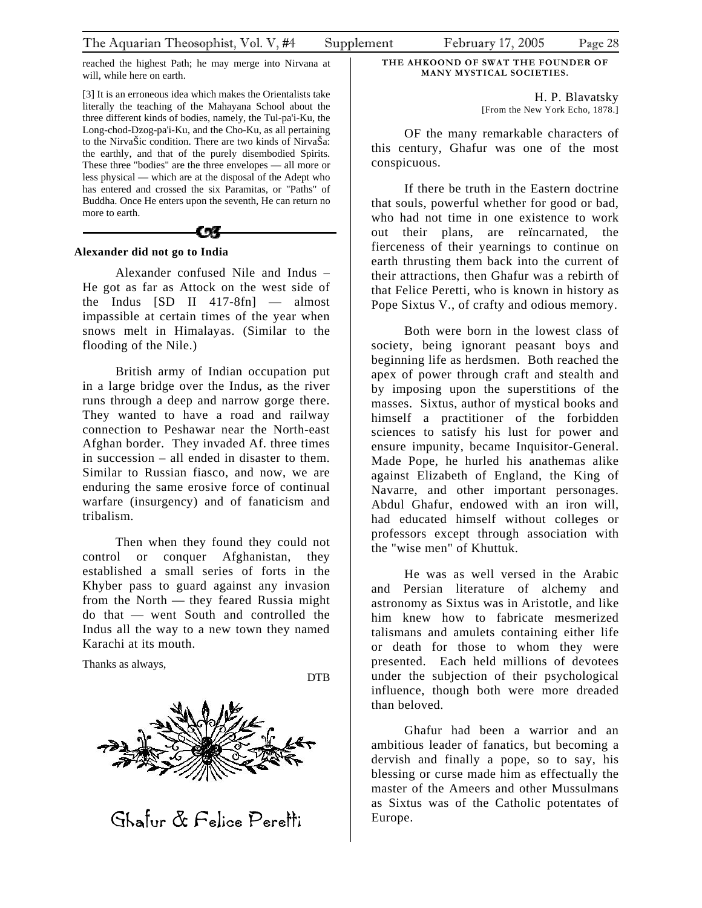<span id="page-27-0"></span>reached the highest Path; he may merge into Nirvana at will, while here on earth.

[3] It is an erroneous idea which makes the Orientalists take literally the teaching of the Mahayana School about the three different kinds of bodies, namely, the Tul-pa'i-Ku, the Long-chod-Dzog-pa'i-Ku, and the Cho-Ku, as all pertaining to the NirvaŠic condition. There are two kinds of NirvaŠa: the earthly, and that of the purely disembodied Spirits. These three "bodies" are the three envelopes — all more or less physical — which are at the disposal of the Adept who has entered and crossed the six Paramitas, or "Paths" of Buddha. Once He enters upon the seventh, He can return no more to earth.



#### **Alexander did not go to India**

Alexander confused Nile and Indus – He got as far as Attock on the west side of the Indus [SD II 417-8fn] — almost impassible at certain times of the year when snows melt in Himalayas. (Similar to the flooding of the Nile.)

British army of Indian occupation put in a large bridge over the Indus, as the river runs through a deep and narrow gorge there. They wanted to have a road and railway connection to Peshawar near the North-east Afghan border. They invaded Af. three times in succession – all ended in disaster to them. Similar to Russian fiasco, and now, we are enduring the same erosive force of continual warfare (insurgency) and of fanaticism and tribalism.

Then when they found they could not control or conquer Afghanistan, they established a small series of forts in the Khyber pass to guard against any invasion from the North — they feared Russia might do that — went South and controlled the Indus all the way to a new town they named Karachi at its mouth.

Thanks as always,

DTB



Ghafur & Felice Peretti

H. P. Blavatsky [From the New York Echo, 1878.]

OF the many remarkable characters of this century, Ghafur was one of the most conspicuous.

If there be truth in the Eastern doctrine that souls, powerful whether for good or bad, who had not time in one existence to work out their plans, are reïncarnated, the fierceness of their yearnings to continue on earth thrusting them back into the current of their attractions, then Ghafur was a rebirth of that Felice Peretti, who is known in history as Pope Sixtus V., of crafty and odious memory.

Both were born in the lowest class of society, being ignorant peasant boys and beginning life as herdsmen. Both reached the apex of power through craft and stealth and by imposing upon the superstitions of the masses. Sixtus, author of mystical books and himself a practitioner of the forbidden sciences to satisfy his lust for power and ensure impunity, became Inquisitor-General. Made Pope, he hurled his anathemas alike against Elizabeth of England, the King of Navarre, and other important personages. Abdul Ghafur, endowed with an iron will, had educated himself without colleges or professors except through association with the "wise men" of Khuttuk.

He was as well versed in the Arabic and Persian literature of alchemy and astronomy as Sixtus was in Aristotle, and like him knew how to fabricate mesmerized talismans and amulets containing either life or death for those to whom they were presented. Each held millions of devotees under the subjection of their psychological influence, though both were more dreaded than beloved.

Ghafur had been a warrior and an ambitious leader of fanatics, but becoming a dervish and finally a pope, so to say, his blessing or curse made him as effectually the master of the Ameers and other Mussulmans as Sixtus was of the Catholic potentates of Europe.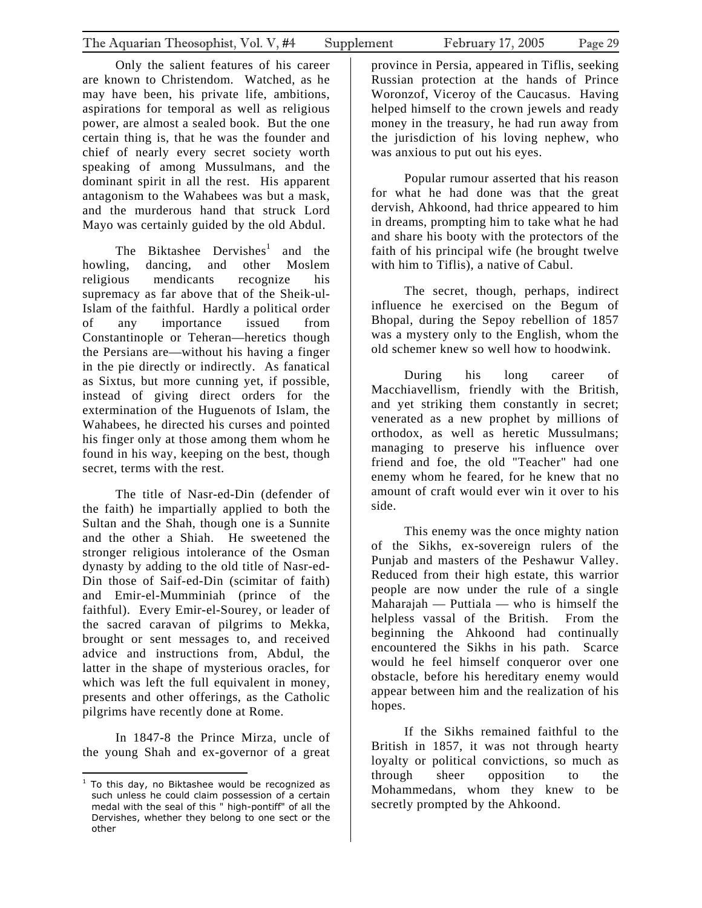Only the salient features of his career are known to Christendom. Watched, as he may have been, his private life, ambitions, aspirations for temporal as well as religious power, are almost a sealed book. But the one certain thing is, that he was the founder and chief of nearly every secret society worth speaking of among Mussulmans, and the dominant spirit in all the rest. His apparent antagonism to the Wahabees was but a mask, and the murderous hand that struck Lord Mayo was certainly guided by the old Abdul.

The Biktashee Dervishes<sup>1</sup> and the howling, dancing, and other Moslem religious mendicants recognize his supremacy as far above that of t[he](#page-28-0) Sheik-ul-Islam of the faithful. Hardly a political order of any importance issued from Constantinople or Teheran—heretics though the Persians are—without his having a finger in the pie directly or indirectly. As fanatical as Sixtus, but more cunning yet, if possible, instead of giving direct orders for the extermination of the Huguenots of Islam, the Wahabees, he directed his curses and pointed his finger only at those among them whom he found in his way, keeping on the best, though secret, terms with the rest.

The title of Nasr-ed-Din (defender of the faith) he impartially applied to both the Sultan and the Shah, though one is a Sunnite and the other a Shiah. He sweetened the stronger religious intolerance of the Osman dynasty by adding to the old title of Nasr-ed-Din those of Saif-ed-Din (scimitar of faith) and Emir-el-Mumminiah (prince of the faithful). Every Emir-el-Sourey, or leader of the sacred caravan of pilgrims to Mekka, brought or sent messages to, and received advice and instructions from, Abdul, the latter in the shape of mysterious oracles, for which was left the full equivalent in money, presents and other offerings, as the Catholic pilgrims have recently done at Rome.

In 1847-8 the Prince Mirza, uncle of the young Shah and ex-governor of a great province in Persia, appeared in Tiflis, seeking Russian protection at the hands of Prince Woronzof, Viceroy of the Caucasus. Having helped himself to the crown jewels and ready money in the treasury, he had run away from the jurisdiction of his loving nephew, who was anxious to put out his eyes.

Popular rumour asserted that his reason for what he had done was that the great dervish, Ahkoond, had thrice appeared to him in dreams, prompting him to take what he had and share his booty with the protectors of the faith of his principal wife (he brought twelve with him to Tiflis), a native of Cabul.

The secret, though, perhaps, indirect influence he exercised on the Begum of Bhopal, during the Sepoy rebellion of 1857 was a mystery only to the English, whom the old schemer knew so well how to hoodwink.

During his long career of Macchiavellism, friendly with the British, and yet striking them constantly in secret; venerated as a new prophet by millions of orthodox, as well as heretic Mussulmans; managing to preserve his influence over friend and foe, the old "Teacher" had one enemy whom he feared, for he knew that no amount of craft would ever win it over to his side.

This enemy was the once mighty nation of the Sikhs, ex-sovereign rulers of the Punjab and masters of the Peshawur Valley. Reduced from their high estate, this warrior people are now under the rule of a single Maharajah — Puttiala — who is himself the helpless vassal of the British. From the beginning the Ahkoond had continually encountered the Sikhs in his path. Scarce would he feel himself conqueror over one obstacle, before his hereditary enemy would appear between him and the realization of his hopes.

If the Sikhs remained faithful to the British in 1857, it was not through hearty loyalty or political convictions, so much as through sheer opposition to the Mohammedans, whom they knew to be secretly prompted by the Ahkoond.

<span id="page-28-0"></span> $\overline{a}$  $1$  To this day, no Biktashee would be recognized as such unless he could claim possession of a certain medal with the seal of this " high-pontiff" of all the Dervishes, whether they belong to one sect or the other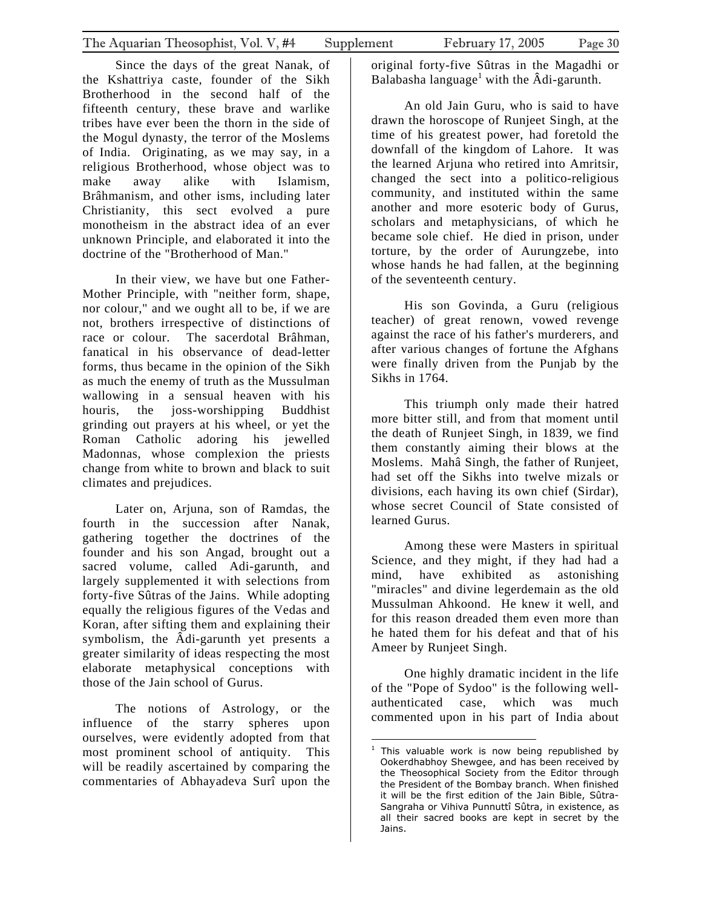Since the days of the great Nanak, of the Kshattriya caste, founder of the Sikh Brotherhood in the second half of the fifteenth century, these brave and warlike tribes have ever been the thorn in the side of the Mogul dynasty, the terror of the Moslems of India. Originating, as we may say, in a religious Brotherhood, whose object was to make away alike with Islamism, Brâhmanism, and other isms, including later Christianity, this sect evolved a pure monotheism in the abstract idea of an ever unknown Principle, and elaborated it into the doctrine of the "Brotherhood of Man."

In their view, we have but one Father-Mother Principle, with "neither form, shape, nor colour," and we ought all to be, if we are not, brothers irrespective of distinctions of race or colour. The sacerdotal Brâhman, fanatical in his observance of dead-letter forms, thus became in the opinion of the Sikh as much the enemy of truth as the Mussulman wallowing in a sensual heaven with his houris, the joss-worshipping Buddhist grinding out prayers at his wheel, or yet the Roman Catholic adoring his jewelled Madonnas, whose complexion the priests change from white to brown and black to suit climates and prejudices.

Later on, Arjuna, son of Ramdas, the fourth in the succession after Nanak, gathering together the doctrines of the founder and his son Angad, brought out a sacred volume, called Adi-garunth, and largely supplemented it with selections from forty-five Sûtras of the Jains. While adopting equally the religious figures of the Vedas and Koran, after sifting them and explaining their symbolism, the Âdi-garunth yet presents a greater similarity of ideas respecting the most elaborate metaphysical conceptions with those of the Jain school of Gurus.

The notions of Astrology, or the influence of the starry spheres upon ourselves, were evidently adopted from that most prominent school of antiquity. This will be readily ascertained by comparing the commentaries of Abhayadeva Surî upon the

original forty-five Sûtras in the Magadhi or Balabasha language<sup>[1](#page-29-0)</sup> with the  $\hat{A}$ di-garunth.

An old Jain Guru, who is said to have drawn the horoscope of Runjeet Singh, at the time of his greatest power, had foretold the downfall of the kingdom of Lahore. It was the learned Arjuna who retired into Amritsir, changed the sect into a politico-religious community, and instituted within the same another and more esoteric body of Gurus, scholars and metaphysicians, of which he became sole chief. He died in prison, under torture, by the order of Aurungzebe, into whose hands he had fallen, at the beginning of the seventeenth century.

His son Govinda, a Guru (religious teacher) of great renown, vowed revenge against the race of his father's murderers, and after various changes of fortune the Afghans were finally driven from the Punjab by the Sikhs in 1764.

This triumph only made their hatred more bitter still, and from that moment until the death of Runjeet Singh, in 1839, we find them constantly aiming their blows at the Moslems. Mahâ Singh, the father of Runjeet, had set off the Sikhs into twelve mizals or divisions, each having its own chief (Sirdar), whose secret Council of State consisted of learned Gurus.

Among these were Masters in spiritual Science, and they might, if they had had a mind, have exhibited as astonishing "miracles" and divine legerdemain as the old Mussulman Ahkoond. He knew it well, and for this reason dreaded them even more than he hated them for his defeat and that of his Ameer by Runjeet Singh.

One highly dramatic incident in the life of the "Pope of Sydoo" is the following wellauthenticated case, which was much commented upon in his part of India about

<span id="page-29-0"></span> $\frac{1}{1}$  This valuable work is now being republished by Ookerdhabhoy Shewgee, and has been received by the Theosophical Society from the Editor through the President of the Bombay branch. When finished it will be the first edition of the Jain Bible, Sûtra-Sangraha or Vihiva Punnuttî Sûtra, in existence, as all their sacred books are kept in secret by the Jains.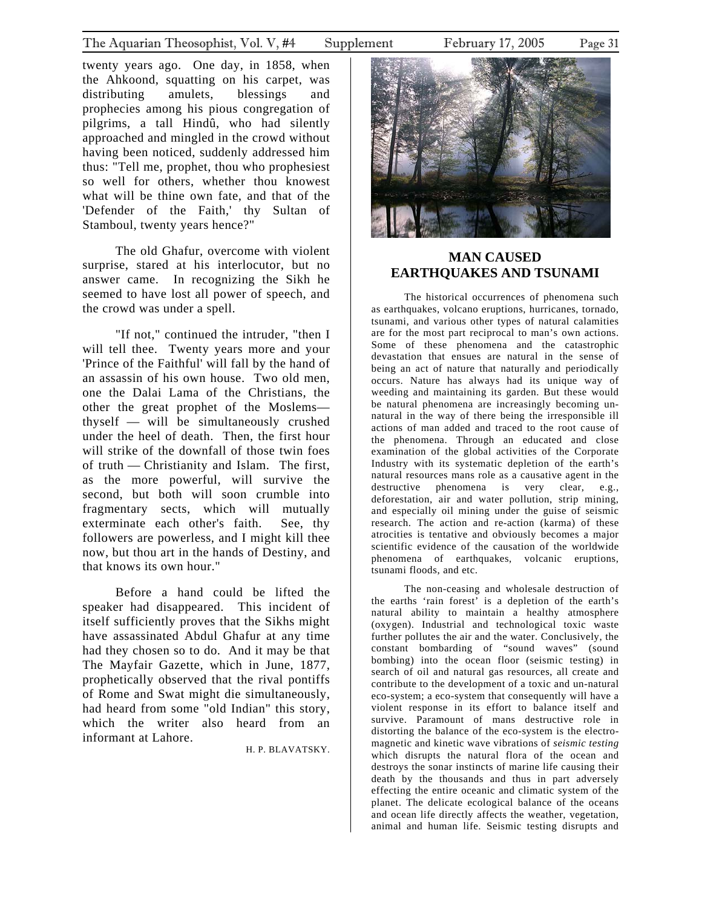<span id="page-30-0"></span>twenty years ago. One day, in 1858, when the Ahkoond, squatting on his carpet, was distributing amulets, blessings and prophecies among his pious congregation of pilgrims, a tall Hindû, who had silently approached and mingled in the crowd without having been noticed, suddenly addressed him thus: "Tell me, prophet, thou who prophesiest so well for others, whether thou knowest what will be thine own fate, and that of the 'Defender of the Faith,' thy Sultan of Stamboul, twenty years hence?"

The old Ghafur, overcome with violent surprise, stared at his interlocutor, but no answer came. In recognizing the Sikh he seemed to have lost all power of speech, and the crowd was under a spell.

"If not," continued the intruder, "then I will tell thee. Twenty years more and your 'Prince of the Faithful' will fall by the hand of an assassin of his own house. Two old men, one the Dalai Lama of the Christians, the other the great prophet of the Moslems thyself — will be simultaneously crushed under the heel of death. Then, the first hour will strike of the downfall of those twin foes of truth — Christianity and Islam. The first, as the more powerful, will survive the second, but both will soon crumble into fragmentary sects, which will mutually exterminate each other's faith. See, thy followers are powerless, and I might kill thee now, but thou art in the hands of Destiny, and that knows its own hour."

Before a hand could be lifted the speaker had disappeared. This incident of itself sufficiently proves that the Sikhs might have assassinated Abdul Ghafur at any time had they chosen so to do. And it may be that The Mayfair Gazette, which in June, 1877, prophetically observed that the rival pontiffs of Rome and Swat might die simultaneously, had heard from some "old Indian" this story, which the writer also heard from an informant at Lahore.

H. P. BLAVATSKY.



# **MAN CAUSED EARTHQUAKES AND TSUNAMI**

The historical occurrences of phenomena such as earthquakes, volcano eruptions, hurricanes, tornado, tsunami, and various other types of natural calamities are for the most part reciprocal to man's own actions. Some of these phenomena and the catastrophic devastation that ensues are natural in the sense of being an act of nature that naturally and periodically occurs. Nature has always had its unique way of weeding and maintaining its garden. But these would be natural phenomena are increasingly becoming unnatural in the way of there being the irresponsible ill actions of man added and traced to the root cause of the phenomena. Through an educated and close examination of the global activities of the Corporate Industry with its systematic depletion of the earth's natural resources mans role as a causative agent in the destructive phenomena is very clear, e.g., deforestation, air and water pollution, strip mining, and especially oil mining under the guise of seismic research. The action and re-action (karma) of these atrocities is tentative and obviously becomes a major scientific evidence of the causation of the worldwide phenomena of earthquakes, volcanic eruptions, tsunami floods, and etc.

The non-ceasing and wholesale destruction of the earths 'rain forest' is a depletion of the earth's natural ability to maintain a healthy atmosphere (oxygen). Industrial and technological toxic waste further pollutes the air and the water. Conclusively, the constant bombarding of "sound waves" (sound bombing) into the ocean floor (seismic testing) in search of oil and natural gas resources, all create and contribute to the development of a toxic and un-natural eco-system; a eco-system that consequently will have a violent response in its effort to balance itself and survive. Paramount of mans destructive role in distorting the balance of the eco-system is the electromagnetic and kinetic wave vibrations of *seismic testing* which disrupts the natural flora of the ocean and destroys the sonar instincts of marine life causing their death by the thousands and thus in part adversely effecting the entire oceanic and climatic system of the planet. The delicate ecological balance of the oceans and ocean life directly affects the weather, vegetation, animal and human life. Seismic testing disrupts and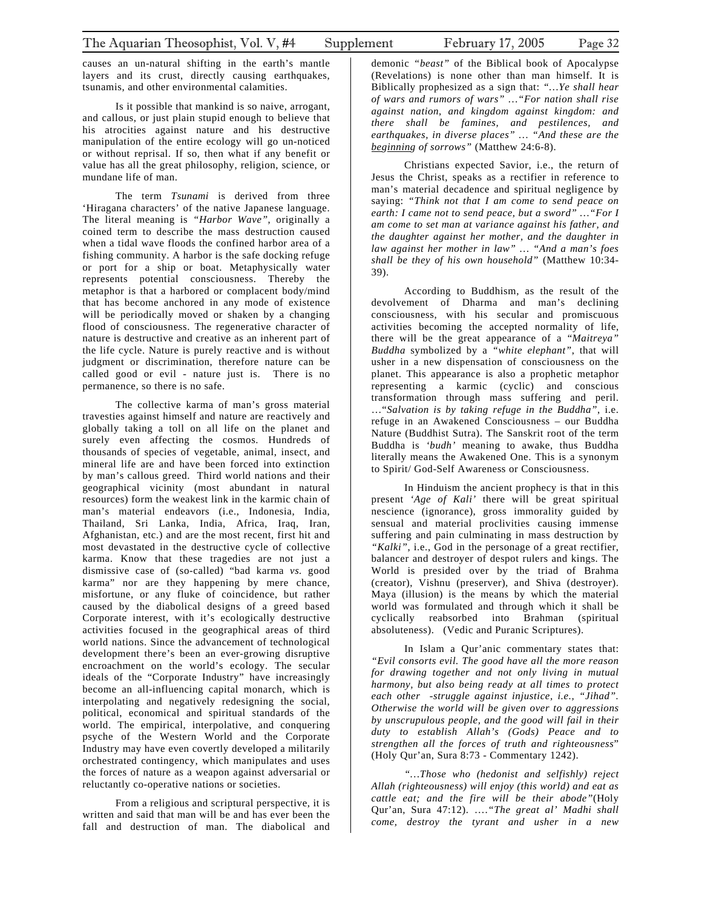causes an un-natural shifting in the earth's mantle layers and its crust, directly causing earthquakes, tsunamis, and other environmental calamities.

Is it possible that mankind is so naive, arrogant, and callous, or just plain stupid enough to believe that his atrocities against nature and his destructive manipulation of the entire ecology will go un-noticed or without reprisal. If so, then what if any benefit or value has all the great philosophy, religion, science, or mundane life of man.

The term *Tsunami* is derived from three 'Hiragana characters' of the native Japanese language. The literal meaning is *"Harbor Wave"*, originally a coined term to describe the mass destruction caused when a tidal wave floods the confined harbor area of a fishing community. A harbor is the safe docking refuge or port for a ship or boat. Metaphysically water represents potential consciousness. Thereby the metaphor is that a harbored or complacent body/mind that has become anchored in any mode of existence will be periodically moved or shaken by a changing flood of consciousness. The regenerative character of nature is destructive and creative as an inherent part of the life cycle. Nature is purely reactive and is without judgment or discrimination, therefore nature can be called good or evil - nature just is. There is no permanence, so there is no safe.

The collective karma of man's gross material travesties against himself and nature are reactively and globally taking a toll on all life on the planet and surely even affecting the cosmos. Hundreds of thousands of species of vegetable, animal, insect, and mineral life are and have been forced into extinction by man's callous greed. Third world nations and their geographical vicinity (most abundant in natural resources) form the weakest link in the karmic chain of man's material endeavors (i.e., Indonesia, India, Thailand, Sri Lanka, India, Africa, Iraq, Iran, Afghanistan, etc.) and are the most recent, first hit and most devastated in the destructive cycle of collective karma. Know that these tragedies are not just a dismissive case of (so-called) "bad karma *vs.* good karma" nor are they happening by mere chance, misfortune, or any fluke of coincidence, but rather caused by the diabolical designs of a greed based Corporate interest, with it's ecologically destructive activities focused in the geographical areas of third world nations. Since the advancement of technological development there's been an ever-growing disruptive encroachment on the world's ecology. The secular ideals of the "Corporate Industry" have increasingly become an all-influencing capital monarch, which is interpolating and negatively redesigning the social, political, economical and spiritual standards of the world. The empirical, interpolative, and conquering psyche of the Western World and the Corporate Industry may have even covertly developed a militarily orchestrated contingency, which manipulates and uses the forces of nature as a weapon against adversarial or reluctantly co-operative nations or societies.

From a religious and scriptural perspective, it is written and said that man will be and has ever been the fall and destruction of man. The diabolical and

demonic *"beast"* of the Biblical book of Apocalypse (Revelations) is none other than man himself. It is Biblically prophesized as a sign that: *"…Ye shall hear of wars and rumors of wars" …"For nation shall rise against nation, and kingdom against kingdom: and there shall be famines, and pestilences, and earthquakes, in diverse places" … "And these are the beginning of sorrows"* (Matthew 24:6-8).

Christians expected Savior, i.e., the return of Jesus the Christ, speaks as a rectifier in reference to man's material decadence and spiritual negligence by saying: *"Think not that I am come to send peace on earth: I came not to send peace, but a sword" …"For I am come to set man at variance against his father, and the daughter against her mother, and the daughter in law against her mother in law" … "And a man's foes shall be they of his own household"* (Matthew 10:34- 39).

According to Buddhism, as the result of the devolvement of Dharma and man's declining consciousness, with his secular and promiscuous activities becoming the accepted normality of life, there will be the great appearance of a "*Maitreya" Buddha* symbolized by a *"white elephant"*, that will usher in a new dispensation of consciousness on the planet. This appearance is also a prophetic metaphor representing a karmic (cyclic) and conscious transformation through mass suffering and peril. …"*Salvation is by taking refuge in the Buddha"*, i.e. refuge in an Awakened Consciousness – our Buddha Nature (Buddhist Sutra). The Sanskrit root of the term Buddha is *'budh'* meaning to awake, thus Buddha literally means the Awakened One. This is a synonym to Spirit/ God-Self Awareness or Consciousness.

In Hinduism the ancient prophecy is that in this present *'Age of Kali'* there will be great spiritual nescience (ignorance), gross immorality guided by sensual and material proclivities causing immense suffering and pain culminating in mass destruction by *"Kalki"*, i.e., God in the personage of a great rectifier, balancer and destroyer of despot rulers and kings. The World is presided over by the triad of Brahma (creator), Vishnu (preserver), and Shiva (destroyer). Maya (illusion) is the means by which the material world was formulated and through which it shall be cyclically reabsorbed into Brahman (spiritual absoluteness). (Vedic and Puranic Scriptures).

In Islam a Qur'anic commentary states that: *"Evil consorts evil. The good have all the more reason for drawing together and not only living in mutual harmony, but also being ready at all times to protect each other -struggle against injustice, i.e., "Jihad". Otherwise the world will be given over to aggressions by unscrupulous people, and the good will fail in their duty to establish Allah's (Gods) Peace and to strengthen all the forces of truth and righteousness*" (Holy Qur'an, Sura 8:73 - Commentary 1242).

*"…Those who (hedonist and selfishly) reject Allah (righteousness) will enjoy (this world) and eat as cattle eat; and the fire will be their abode"*(Holy Qur'an, Sura 47:12). ….*"The great al' Madhi shall come, destroy the tyrant and usher in a new*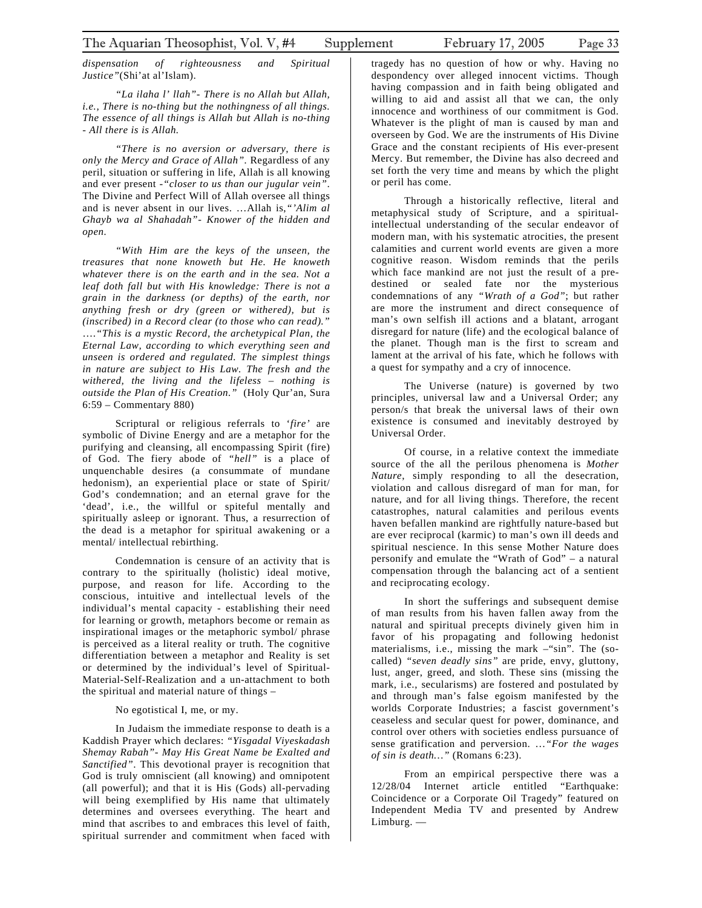*dispensation of righteousness and Spiritual Justice"*(Shi'at al'Islam).

*"La ilaha l' llah"- There is no Allah but Allah, i.e., There is no-thing but the nothingness of all things. The essence of all things is Allah but Allah is no-thing - All there is is Allah.* 

*"There is no aversion or adversary, there is only the Mercy and Grace of Allah".* Regardless of any peril, situation or suffering in life, Allah is all knowing and ever present -*"closer to us than our jugular vein"*. The Divine and Perfect Will of Allah oversee all things and is never absent in our lives. …Allah is,*"'Alim al Ghayb wa al Shahadah"- Knower of the hidden and open.* 

*"With Him are the keys of the unseen, the treasures that none knoweth but He. He knoweth whatever there is on the earth and in the sea. Not a leaf doth fall but with His knowledge: There is not a grain in the darkness (or depths) of the earth, nor anything fresh or dry (green or withered), but is (inscribed) in a Record clear (to those who can read)."* ….*"This is a mystic Record, the archetypical Plan, the Eternal Law, according to which everything seen and unseen is ordered and regulated. The simplest things in nature are subject to His Law. The fresh and the withered, the living and the lifeless – nothing is outside the Plan of His Creation."* (Holy Qur'an, Sura 6:59 – Commentary 880)

Scriptural or religious referrals to '*fire'* are symbolic of Divine Energy and are a metaphor for the purifying and cleansing, all encompassing Spirit (fire) of God. The fiery abode of *"hell"* is a place of unquenchable desires (a consummate of mundane hedonism), an experiential place or state of Spirit/ God's condemnation; and an eternal grave for the 'dead', i.e., the willful or spiteful mentally and spiritually asleep or ignorant. Thus, a resurrection of the dead is a metaphor for spiritual awakening or a mental/ intellectual rebirthing.

Condemnation is censure of an activity that is contrary to the spiritually (holistic) ideal motive, purpose, and reason for life. According to the conscious, intuitive and intellectual levels of the individual's mental capacity - establishing their need for learning or growth, metaphors become or remain as inspirational images or the metaphoric symbol/ phrase is perceived as a literal reality or truth. The cognitive differentiation between a metaphor and Reality is set or determined by the individual's level of Spiritual-Material-Self-Realization and a un-attachment to both the spiritual and material nature of things –

#### No egotistical I, me, or my.

In Judaism the immediate response to death is a Kaddish Prayer which declares: *"Yisgadal Viyeskadash Shemay Rabah"- May His Great Name be Exalted and Sanctified"*. This devotional prayer is recognition that God is truly omniscient (all knowing) and omnipotent (all powerful); and that it is His (Gods) all-pervading will being exemplified by His name that ultimately determines and oversees everything. The heart and mind that ascribes to and embraces this level of faith, spiritual surrender and commitment when faced with

tragedy has no question of how or why. Having no despondency over alleged innocent victims. Though having compassion and in faith being obligated and willing to aid and assist all that we can, the only innocence and worthiness of our commitment is God. Whatever is the plight of man is caused by man and overseen by God. We are the instruments of His Divine Grace and the constant recipients of His ever-present Mercy. But remember, the Divine has also decreed and set forth the very time and means by which the plight or peril has come.

Through a historically reflective, literal and metaphysical study of Scripture, and a spiritualintellectual understanding of the secular endeavor of modern man, with his systematic atrocities, the present calamities and current world events are given a more cognitive reason. Wisdom reminds that the perils which face mankind are not just the result of a predestined or sealed fate nor the mysterious condemnations of any *"Wrath of a God"*; but rather are more the instrument and direct consequence of man's own selfish ill actions and a blatant, arrogant disregard for nature (life) and the ecological balance of the planet. Though man is the first to scream and lament at the arrival of his fate, which he follows with a quest for sympathy and a cry of innocence.

The Universe (nature) is governed by two principles, universal law and a Universal Order; any person/s that break the universal laws of their own existence is consumed and inevitably destroyed by Universal Order.

Of course, in a relative context the immediate source of the all the perilous phenomena is *Mother Nature*, simply responding to all the desecration, violation and callous disregard of man for man, for nature, and for all living things. Therefore, the recent catastrophes, natural calamities and perilous events haven befallen mankind are rightfully nature-based but are ever reciprocal (karmic) to man's own ill deeds and spiritual nescience. In this sense Mother Nature does personify and emulate the "Wrath of God" – a natural compensation through the balancing act of a sentient and reciprocating ecology.

In short the sufferings and subsequent demise of man results from his haven fallen away from the natural and spiritual precepts divinely given him in favor of his propagating and following hedonist materialisms, i.e., missing the mark –"sin". The (socalled) *"seven deadly sins"* are pride, envy, gluttony, lust, anger, greed, and sloth. These sins (missing the mark, i.e., secularisms) are fostered and postulated by and through man's false egoism manifested by the worlds Corporate Industries; a fascist government's ceaseless and secular quest for power, dominance, and control over others with societies endless pursuance of sense gratification and perversion. …*"For the wages of sin is death…"* (Romans 6:23).

From an empirical perspective there was a 12/28/04 Internet article entitled "Earthquake: Coincidence or a Corporate Oil Tragedy" featured on Independent Media TV and presented by Andrew Limburg. —